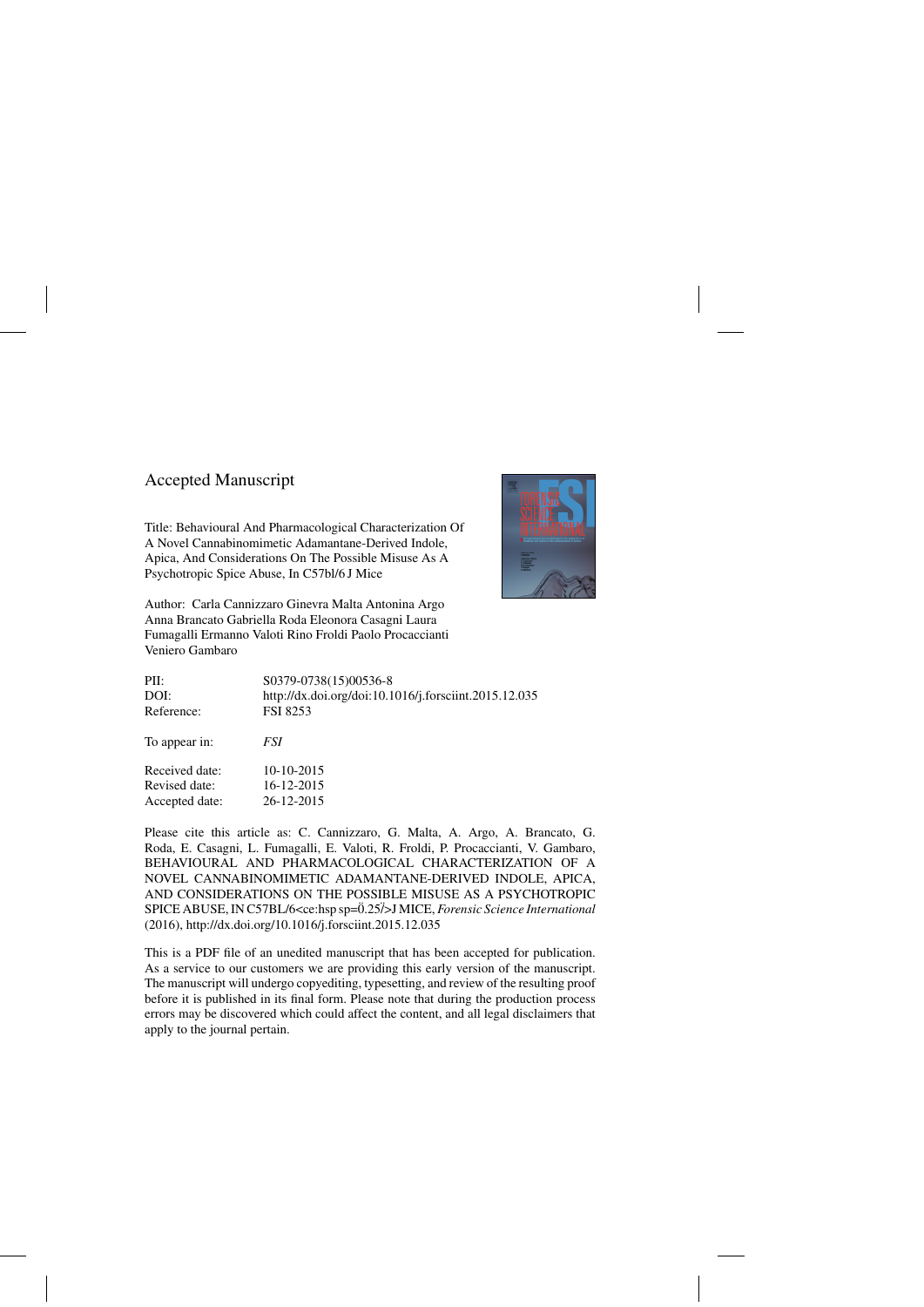# Accepted Manuscript

Title: Behavioural And Pharmacological Characterization Of A Novel Cannabinomimetic Adamantane-Derived Indole, Apica, And Considerations On The Possible Misuse As A Psychotropic Spice Abuse, In C57bl/6 J Mice



Author: Carla Cannizzaro Ginevra Malta Antonina Argo Anna Brancato Gabriella Roda Eleonora Casagni Laura Fumagalli Ermanno Valoti Rino Froldi Paolo Procaccianti Veniero Gambaro

| PII:           | S0379-0738(15)00536-8                                 |
|----------------|-------------------------------------------------------|
| DOI:           | http://dx.doi.org/doi:10.1016/j.forsciint.2015.12.035 |
| Reference:     | <b>FSI 8253</b>                                       |
| To appear in:  | <i>FSI</i>                                            |
| Received date: | 10-10-2015                                            |
| Revised date:  | 16-12-2015                                            |
| Accepted date: | 26-12-2015                                            |

Please cite this article as: C. Cannizzaro, G. Malta, A. Argo, A. Brancato, G. Roda, E. Casagni, L. Fumagalli, E. Valoti, R. Froldi, P. Procaccianti, V. Gambaro, BEHAVIOURAL AND PHARMACOLOGICAL CHARACTERIZATION OF A NOVEL CANNABINOMIMETIC ADAMANTANE-DERIVED INDOLE, APICA, AND CONSIDERATIONS ON THE POSSIBLE MISUSE AS A PSYCHOTROPIC SPICE ABUSE, IN C57BL/6<ce:hsp sp=0.25 ¨ ¨/>J MICE, *Forensic Science International* (2016),<http://dx.doi.org/10.1016/j.forsciint.2015.12.035>

This is a PDF file of an unedited manuscript that has been accepted for publication. As a service to our customers we are providing this early version of the manuscript. The manuscript will undergo copyediting, typesetting, and review of the resulting proof before it is published in its final form. Please note that during the production process errors may be discovered which could affect the content, and all legal disclaimers that apply to the journal pertain.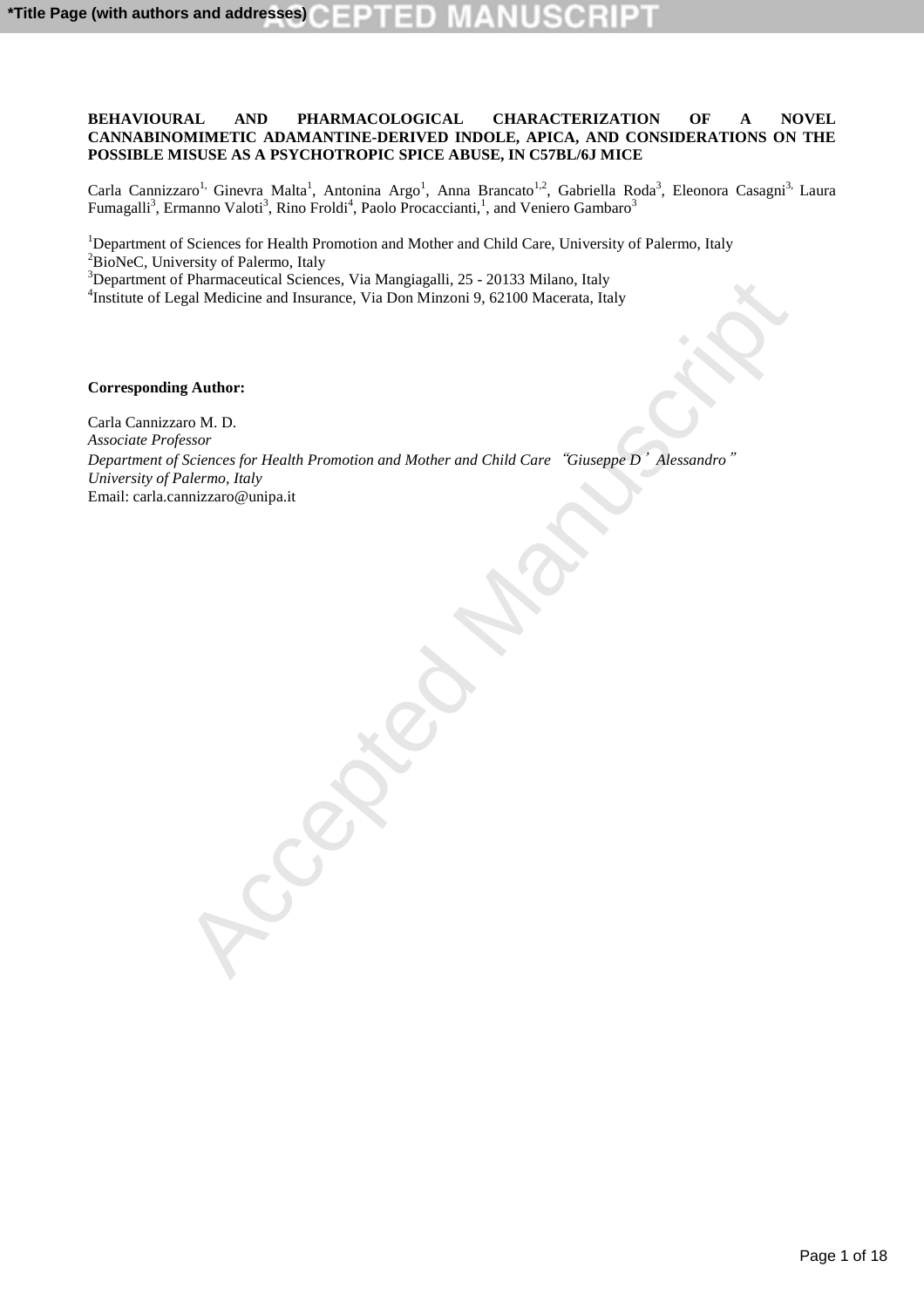# **BEHAVIOURAL AND PHARMACOLOGICAL CHARACTERIZATION OF A NOVEL CANNABINOMIMETIC ADAMANTINE-DERIVED INDOLE, APICA, AND CONSIDERATIONS ON THE POSSIBLE MISUSE AS A PSYCHOTROPIC SPICE ABUSE, IN C57BL/6J MICE**

Carla Cannizzaro<sup>1,</sup> Ginevra Malta<sup>1</sup>, Antonina Argo<sup>1</sup>, Anna Brancato<sup>1,2</sup>, Gabriella Roda<sup>3</sup>, Eleonora Casagni<sup>3,</sup> Laura Fumagalli $^3$ , Ermanno Valoti $^3$ , Rino Froldi $^4$ , Paolo Procaccianti, $^1$ , and Veniero Gambaro $^3$ 

<sup>1</sup>Department of Sciences for Health Promotion and Mother and Child Care, University of Palermo, Italy <sup>2</sup>BioNeC, University of Palermo, Italy

<sup>3</sup>Department of Pharmaceutical Sciences, Via Mangiagalli, 25 - 20133 Milano, Italy

4 Institute of Legal Medicine and Insurance, Via Don Minzoni 9, 62100 Macerata, Italy

**Corresponding Author:**

Pharmaceutical Sciences, Via Don Minzong, 123 - 2013 of Milano, 11aly<br>
Egal Medicine and Insurance, Via Don Minzoni 9, 62100 Miscensia, Taky<br>
and Multiper<br>
Actiones for Health Promotion and Mother and Child Care "Ginseppe Carla Cannizzaro M. D. *Associate Professor Department of Sciences for Health Promotion and Mother and Child Care*"*Giuseppe D*'*Alessandro*" *University of Palermo, Italy* Email: carla.cannizzaro@unipa.it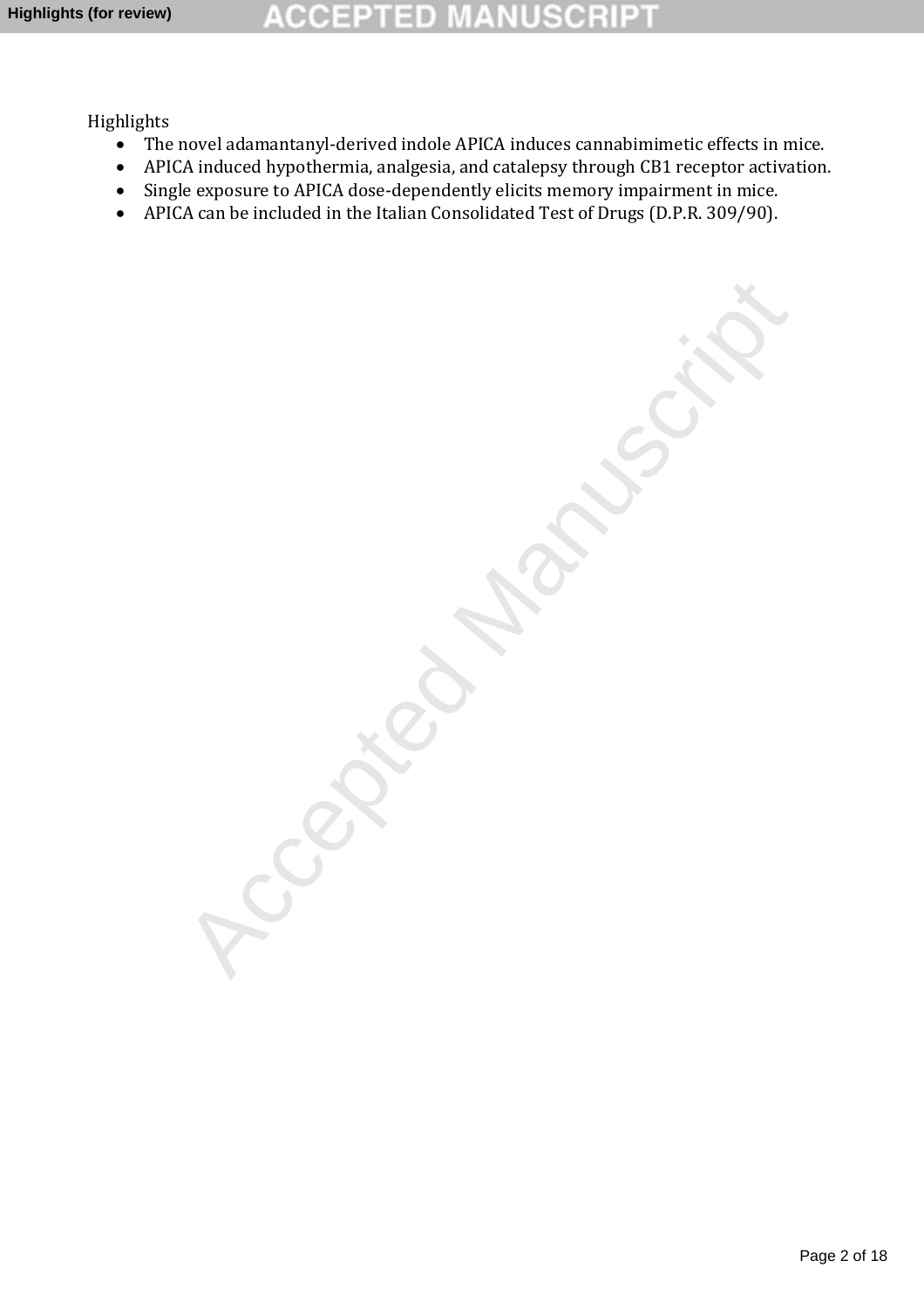#### **CCEPTED** ा VUSCRI

Highlights

- The novel adamantanyl-derived indole APICA induces cannabimimetic effects in mice.
- APICA induced hypothermia, analgesia, and catalepsy through CB1 receptor activation.
- Single exposure to APICA dose-dependently elicits memory impairment in mice.
- APICA can be included in the Italian Consolidated Test of Drugs (D.P.R. 309/90).

Accepted Manuscript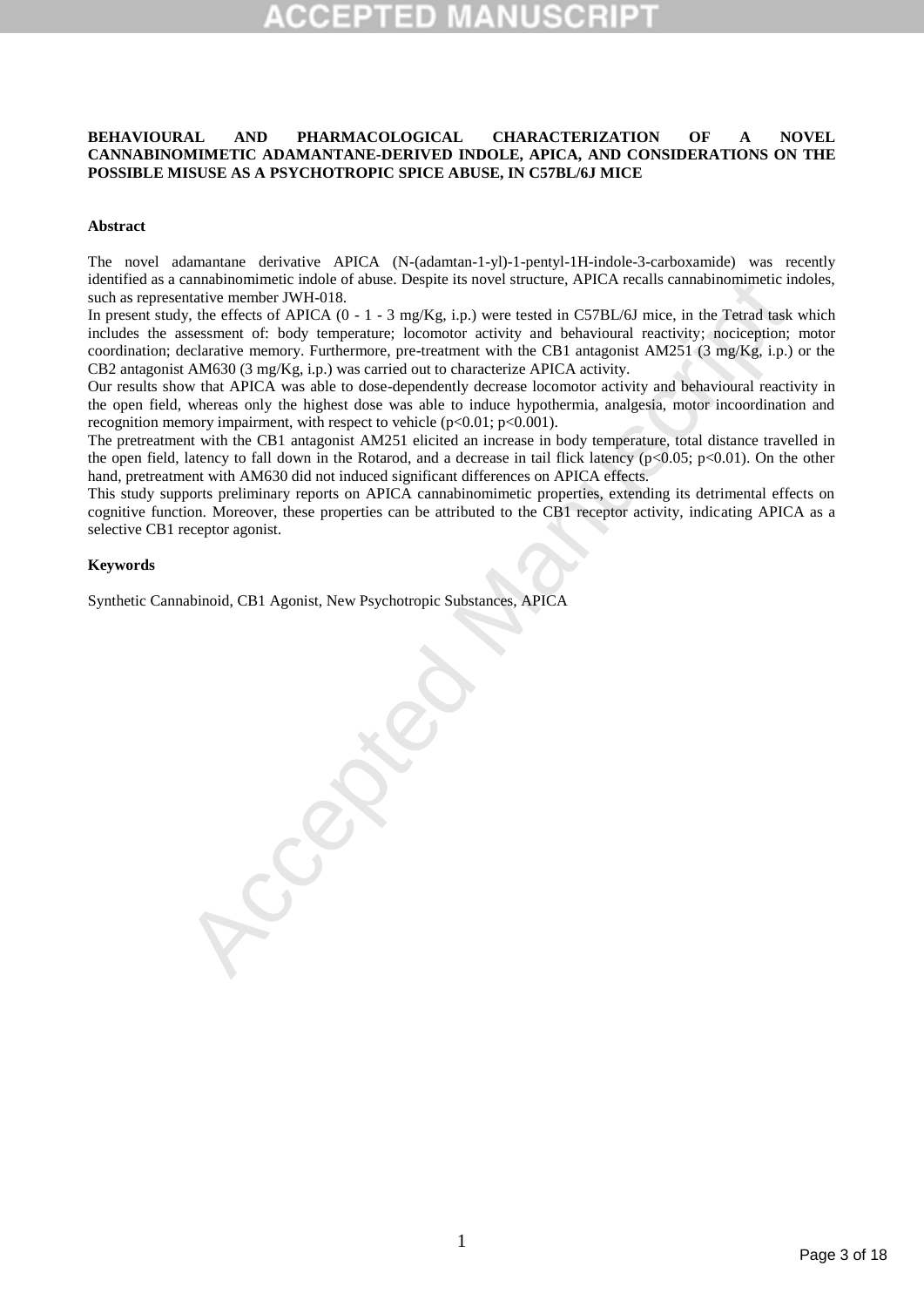# **BEHAVIOURAL AND PHARMACOLOGICAL CHARACTERIZATION OF A NOVEL CANNABINOMIMETIC ADAMANTANE-DERIVED INDOLE, APICA, AND CONSIDERATIONS ON THE POSSIBLE MISUSE AS A PSYCHOTROPIC SPICE ABUSE, IN C57BL/6J MICE**

### **Abstract**

The novel adamantane derivative APICA (N-(adamtan-1-yl)-1-pentyl-1H-indole-3-carboxamide) was recently identified as a cannabinomimetic indole of abuse. Despite its novel structure, APICA recalls cannabinomimetic indoles, such as representative member JWH-018.

cannabinomimies in midde of a abuse. Despite its novel structure, APICA recalls cannabinomimies in the return of the CHCA (0 - 1 - 3 mg/Kg, i, p) were restricted in CS7BL/63 mice, in the Petral task<br>sessment of: body tempe In present study, the effects of APICA  $(0 - 1 - 3 \text{ mg/Kg}, i.p.)$  were tested in C57BL/6J mice, in the Tetrad task which includes the assessment of: body temperature; locomotor activity and behavioural reactivity; nociception; motor coordination; declarative memory. Furthermore, pre-treatment with the CB1 antagonist AM251 (3 mg/Kg, i.p.) or the CB2 antagonist AM630 (3 mg/Kg, i.p.) was carried out to characterize APICA activity.

Our results show that APICA was able to dose-dependently decrease locomotor activity and behavioural reactivity in the open field, whereas only the highest dose was able to induce hypothermia, analgesia, motor incoordination and recognition memory impairment, with respect to vehicle  $(p<0.01; p<0.001)$ .

The pretreatment with the CB1 antagonist AM251 elicited an increase in body temperature, total distance travelled in the open field, latency to fall down in the Rotarod, and a decrease in tail flick latency ( $p<0.05$ ;  $p<0.01$ ). On the other hand, pretreatment with AM630 did not induced significant differences on APICA effects.

This study supports preliminary reports on APICA cannabinomimetic properties, extending its detrimental effects on cognitive function. Moreover, these properties can be attributed to the CB1 receptor activity, indicating APICA as a selective CB1 receptor agonist.

### **Keywords**

Synthetic Cannabinoid, CB1 Agonist, New Psychotropic Substances, APICA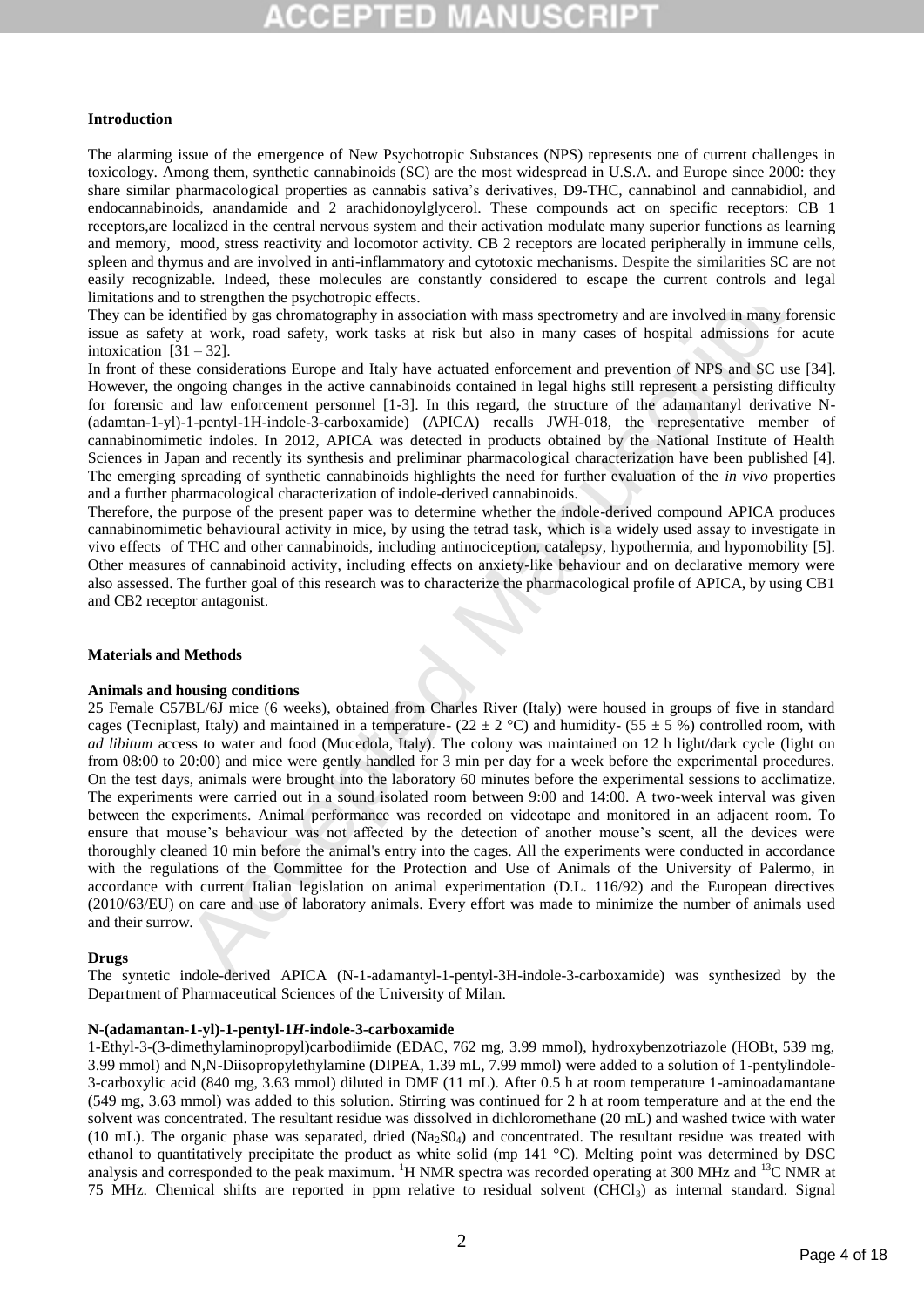### **Introduction**

The alarming issue of the emergence of New Psychotropic Substances (NPS) represents one of current challenges in toxicology. Among them, synthetic cannabinoids (SC) are the most widespread in U.S.A. and Europe since 2000: they share similar pharmacological properties as cannabis sativa's derivatives, D9-THC, cannabinol and cannabidiol, and endocannabinoids, anandamide and 2 arachidonoylglycerol. These compounds act on specific receptors: CB 1 receptors,are localized in the central nervous system and their activation modulate many superior functions as learning and memory, mood, stress reactivity and locomotor activity. CB 2 receptors are located peripherally in immune cells, spleen and thymus and are involved in anti-inflammatory and cytotoxic mechanisms. Despite the similarities SC are not easily recognizable. Indeed, these molecules are constantly considered to escape the current controls and legal limitations and to strengthen the psychotropic effects.

They can be identified by gas chromatography in association with mass spectrometry and are involved in many forensic issue as safety at work, road safety, work tasks at risk but also in many cases of hospital admissions for acute intoxication  $[31 - 32]$ .

In front of these considerations Europe and Italy have actuated enforcement and prevention of NPS and SC use [34]. However, the ongoing changes in the active cannabinoids contained in legal highs still represent a persisting difficulty for forensic and law enforcement personnel [1-3]. In this regard, the structure of the adamantanyl derivative N- (adamtan-1-yl)-1-pentyl-1H-indole-3-carboxamide) (APICA) recalls JWH-018, the representative member of cannabinomimetic indoles. In 2012, APICA was detected in products obtained by the National Institute of Health Sciences in Japan and recently its synthesis and preliminar pharmacological characterization have been published [4]. The emerging spreading of synthetic cannabinoids highlights the need for further evaluation of the *in vivo* properties and a further pharmacological characterization of indole-derived cannabinoids.

Therefore, the purpose of the present paper was to determine whether the indole-derived compound APICA produces cannabinomimetic behavioural activity in mice, by using the tetrad task, which is a widely used assay to investigate in vivo effects of THC and other cannabinoids, including antinociception, catalepsy, hypothermia, and hypomobility [5]. Other measures of cannabinoid activity, including effects on anxiety-like behaviour and on declarative memory were also assessed. The further goal of this research was to characterize the pharmacological profile of APICA, by using CB1 and CB2 receptor antagonist.

### **Materials and Methods**

#### **Animals and housing conditions**

able. Indeed, these molecules are constaintly considered to escape the current controls and<br>no strengthen the psychotopyie effects.<br>The strengthen the psychotopyie effects.<br>The strengthen the psychotopyie effects.<br>The str 25 Female C57BL/6J mice (6 weeks), obtained from Charles River (Italy) were housed in groups of five in standard cages (Tecniplast, Italy) and maintained in a temperature-  $(22 \pm 2 \degree C)$  and humidity-  $(55 \pm 5 \degree 6)$  controlled room, with *ad libitum* access to water and food (Mucedola, Italy). The colony was maintained on 12 h light/dark cycle (light on from 08:00 to 20:00) and mice were gently handled for 3 min per day for a week before the experimental procedures. On the test days, animals were brought into the laboratory 60 minutes before the experimental sessions to acclimatize. The experiments were carried out in a sound isolated room between 9:00 and 14:00. A two-week interval was given between the experiments. Animal performance was recorded on videotape and monitored in an adjacent room. To ensure that mouse's behaviour was not affected by the detection of another mouse's scent, all the devices were thoroughly cleaned 10 min before the animal's entry into the cages. All the experiments were conducted in accordance with the regulations of the Committee for the Protection and Use of Animals of the University of Palermo, in accordance with current Italian legislation on animal experimentation (D.L. 116/92) and the European directives (2010/63/EU) on care and use of laboratory animals. Every effort was made to minimize the number of animals used and their surrow.

#### **Drugs**

The syntetic indole-derived APICA (N-1-adamantyl-1-pentyl-3H-indole-3-carboxamide) was synthesized by the Department of Pharmaceutical Sciences of the University of Milan.

## **N-(adamantan-1-yl)-1-pentyl-1***H***-indole-3-carboxamide**

1-Ethyl-3-(3-dimethylaminopropyl)carbodiimide (EDAC, 762 mg, 3.99 mmol), hydroxybenzotriazole (HOBt, 539 mg, 3.99 mmol) and N,N-Diisopropylethylamine (DIPEA, 1.39 mL, 7.99 mmol) were added to a solution of 1-pentylindole-3-carboxylic acid (840 mg, 3.63 mmol) diluted in DMF (11 mL). After 0.5 h at room temperature 1-aminoadamantane (549 mg, 3.63 mmol) was added to this solution. Stirring was continued for 2 h at room temperature and at the end the solvent was concentrated. The resultant residue was dissolved in dichloromethane (20 mL) and washed twice with water (10 mL). The organic phase was separated, dried  $(Na_2SO_4)$  and concentrated. The resultant residue was treated with ethanol to quantitatively precipitate the product as white solid (mp  $141 \degree C$ ). Melting point was determined by DSC analysis and corresponded to the peak maximum. <sup>1</sup>H NMR spectra was recorded operating at 300 MHz and <sup>13</sup>C NMR at 75 MHz. Chemical shifts are reported in ppm relative to residual solvent (CHCl3) as internal standard. Signal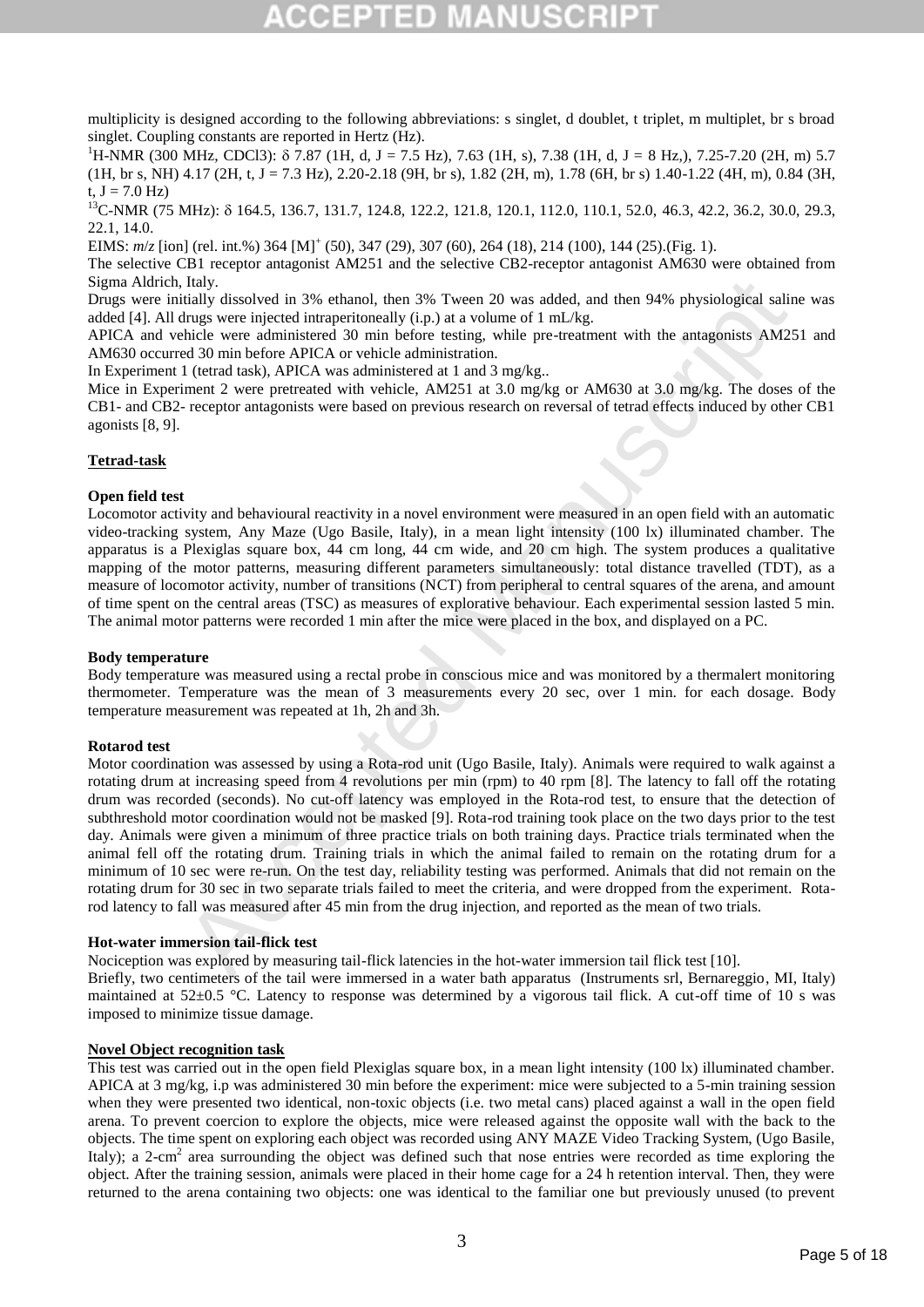multiplicity is designed according to the following abbreviations: s singlet, d doublet, t triplet, m multiplet, br s broad singlet. Coupling constants are reported in Hertz (Hz).

<sup>1</sup>H-NMR (300 MHz, CDCl3):  $\delta$  7.87 (1H, d, J = 7.5 Hz), 7.63 (1H, s), 7.38 (1H, d, J = 8 Hz,), 7.25-7.20 (2H, m) 5.7 (1H, br s, NH) 4.17 (2H, t, J = 7.3 Hz), 2.20-2.18 (9H, br s), 1.82 (2H, m), 1.78 (6H, br s) 1.40-1.22 (4H, m), 0.84 (3H, t,  $J = 7.0$  Hz)

<sup>13</sup>C-NMR (75 MHz):  $\delta$  164.5, 136.7, 131.7, 124.8, 122.2, 121.8, 120.1, 112.0, 110.1, 52.0, 46.3, 42.2, 36.2, 30.0, 29.3, 22.1, 14.0.

EIMS:  $m/z$  [ion] (rel. int.%) 364 [M]<sup>+</sup> (50), 347 (29), 307 (60), 264 (18), 214 (100), 144 (25).(Fig. 1).

The selective CB1 receptor antagonist AM251 and the selective CB2-receptor antagonist AM630 were obtained from Sigma Aldrich, Italy.

Drugs were initially dissolved in 3% ethanol, then 3% Tween 20 was added, and then 94% physiological saline was added [4]. All drugs were injected intraperitoneally (i.p.) at a volume of 1 mL/kg.

APICA and vehicle were administered 30 min before testing, while pre-treatment with the antagonists AM251 and AM630 occurred 30 min before APICA or vehicle administration.

In Experiment 1 (tetrad task), APICA was administered at 1 and 3 mg/kg..

Mice in Experiment 2 were pretreated with vehicle, AM251 at 3.0 mg/kg or AM630 at 3.0 mg/kg. The doses of the CB1- and CB2- receptor antagonists were based on previous research on reversal of tetrad effects induced by other CB1 agonists [8, 9].

# **Tetrad-task**

# **Open field test**

Locomotor activity and behavioural reactivity in a novel environment were measured in an open field with an automatic video-tracking system, Any Maze (Ugo Basile, Italy), in a mean light intensity (100 lx) illuminated chamber. The apparatus is a Plexiglas square box, 44 cm long, 44 cm wide, and 20 cm high. The system produces a qualitative mapping of the motor patterns, measuring different parameters simultaneously: total distance travelled (TDT), as a measure of locomotor activity, number of transitions (NCT) from peripheral to central squares of the arena, and amount of time spent on the central areas (TSC) as measures of explorative behaviour. Each experimental session lasted 5 min. The animal motor patterns were recorded 1 min after the mice were placed in the box, and displayed on a PC.

#### **Body temperature**

Body temperature was measured using a rectal probe in conscious mice and was monitored by a thermalert monitoring thermometer. Temperature was the mean of 3 measurements every 20 sec, over 1 min. for each dosage. Body temperature measurement was repeated at 1h, 2h and 3h.

# **Rotarod test**

Italy.<br>
Italy dissolved in 3% ethanol, then 3% Tween 20 was added, and then 94% physiological saling<br>highly dissolved in 3% ethanol, then a solution before the mall in the<br>state were administered 30 min before testing, wh Motor coordination was assessed by using a Rota-rod unit (Ugo Basile, Italy). Animals were required to walk against a rotating drum at increasing speed from 4 revolutions per min (rpm) to 40 rpm [8]. The latency to fall off the rotating drum was recorded (seconds). No cut-off latency was employed in the Rota-rod test, to ensure that the detection of subthreshold motor coordination would not be masked [9]. Rota-rod training took place on the two days prior to the test day. Animals were given a minimum of three practice trials on both training days. Practice trials terminated when the animal fell off the rotating drum. Training trials in which the animal failed to remain on the rotating drum for a minimum of 10 sec were re-run. On the test day, reliability testing was performed. Animals that did not remain on the rotating drum for 30 sec in two separate trials failed to meet the criteria, and were dropped from the experiment. Rotarod latency to fall was measured after 45 min from the drug injection, and reported as the mean of two trials.

#### **Hot-water immersion tail-flick test**

Nociception was explored by measuring tail-flick latencies in the hot-water immersion tail flick test [10]. Briefly, two centimeters of the tail were immersed in a water bath apparatus (Instruments srl, Bernareggio, MI, Italy) maintained at 52±0.5 °C. Latency to response was determined by a vigorous tail flick. A cut-off time of 10 s was imposed to minimize tissue damage.

#### **Novel Object recognition task**

This test was carried out in the open field Plexiglas square box, in a mean light intensity (100 lx) illuminated chamber. APICA at 3 mg/kg, i.p was administered 30 min before the experiment: mice were subjected to a 5-min training session when they were presented two identical, non-toxic objects (i.e. two metal cans) placed against a wall in the open field arena. To prevent coercion to explore the objects, mice were released against the opposite wall with the back to the objects. The time spent on exploring each object was recorded using ANY MAZE Video Tracking System, (Ugo Basile, Italy); a 2-cm<sup>2</sup> area surrounding the object was defined such that nose entries were recorded as time exploring the object. After the training session, animals were placed in their home cage for a 24 h retention interval. Then, they were returned to the arena containing two objects: one was identical to the familiar one but previously unused (to prevent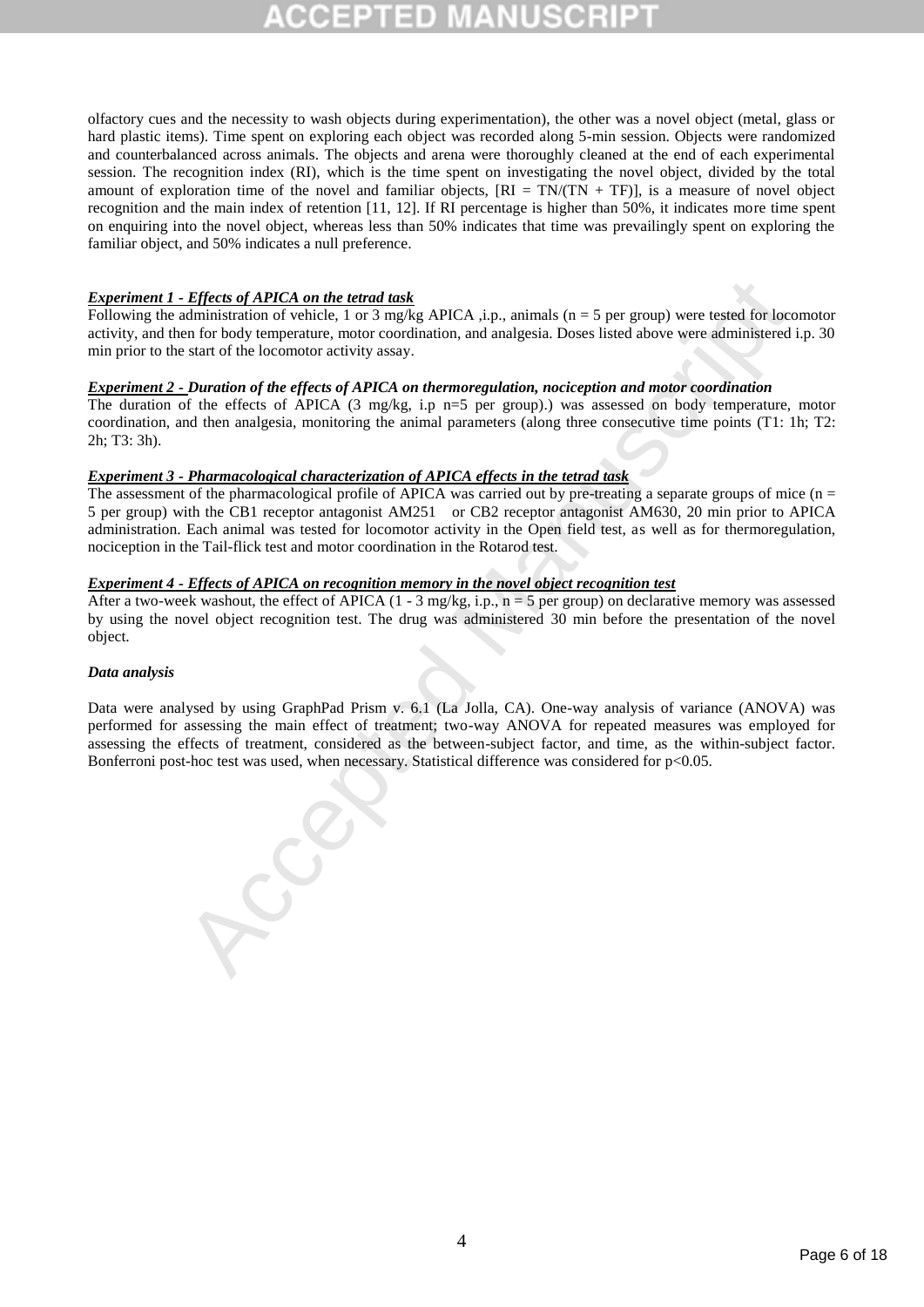olfactory cues and the necessity to wash objects during experimentation), the other was a novel object (metal, glass or hard plastic items). Time spent on exploring each object was recorded along 5-min session. Objects were randomized and counterbalanced across animals. The objects and arena were thoroughly cleaned at the end of each experimental session. The recognition index (RI), which is the time spent on investigating the novel object, divided by the total amount of exploration time of the novel and familiar objects,  $[RI = TN/(TN + TF)]$ , is a measure of novel object recognition and the main index of retention [11, 12]. If RI percentage is higher than 50%, it indicates more time spent on enquiring into the novel object, whereas less than 50% indicates that time was prevailingly spent on exploring the familiar object, and 50% indicates a null preference.

# *Experiment 1 - Effects of APICA on the tetrad task*

Following the administration of vehicle, 1 or 3 mg/kg APICA ,i.p., animals (n = 5 per group) were tested for locomotor activity, and then for body temperature, motor coordination, and analgesia. Doses listed above were administered i.p. 30 min prior to the start of the locomotor activity assay.

# *Experiment 2 - Duration of the effects of APICA on thermoregulation, nociception and motor coordination*

The duration of the effects of APICA (3 mg/kg, i.p n=5 per group).) was assessed on body temperature, motor coordination, and then analgesia, monitoring the animal parameters (along three consecutive time points (T1: 1h; T2: 2h; T3: 3h).

# *Experiment 3 - Pharmacological characterization of APICA effects in the tetrad task*

The assessment of the pharmacological profile of APICA was carried out by pre-treating a separate groups of mice  $(n = 1, 2, 3)$ 5 per group) with the CB1 receptor antagonist AM251 or CB2 receptor antagonist AM630, 20 min prior to APICA administration. Each animal was tested for locomotor activity in the Open field test, as well as for thermoregulation, nociception in the Tail-flick test and motor coordination in the Rotarod test.

# *Experiment 4 - Effects of APICA on recognition memory in the novel object recognition test*

After a two-week washout, the effect of APICA  $(1 - 3 \text{ mg/kg}, i.p., n = 5 \text{ per group})$  on declarative memory was assessed by using the novel object recognition test. The drug was administered 30 min before the presentation of the novel object.

### *Data analysis*

**Effects of APICA on the tetrad task**<br> **Charaction** of vehicle, 1 or 3 mg/kg APICA , i.p., animals (n = 5 per group) were rested for locot-<br>
and order of the defents of a PICA data and analgesia. Doses listed above were a Data were analysed by using GraphPad Prism v. 6.1 (La Jolla, CA). One-way analysis of variance (ANOVA) was performed for assessing the main effect of treatment; two-way ANOVA for repeated measures was employed for assessing the effects of treatment, considered as the between-subject factor, and time, as the within-subject factor. Bonferroni post-hoc test was used, when necessary. Statistical difference was considered for p<0.05.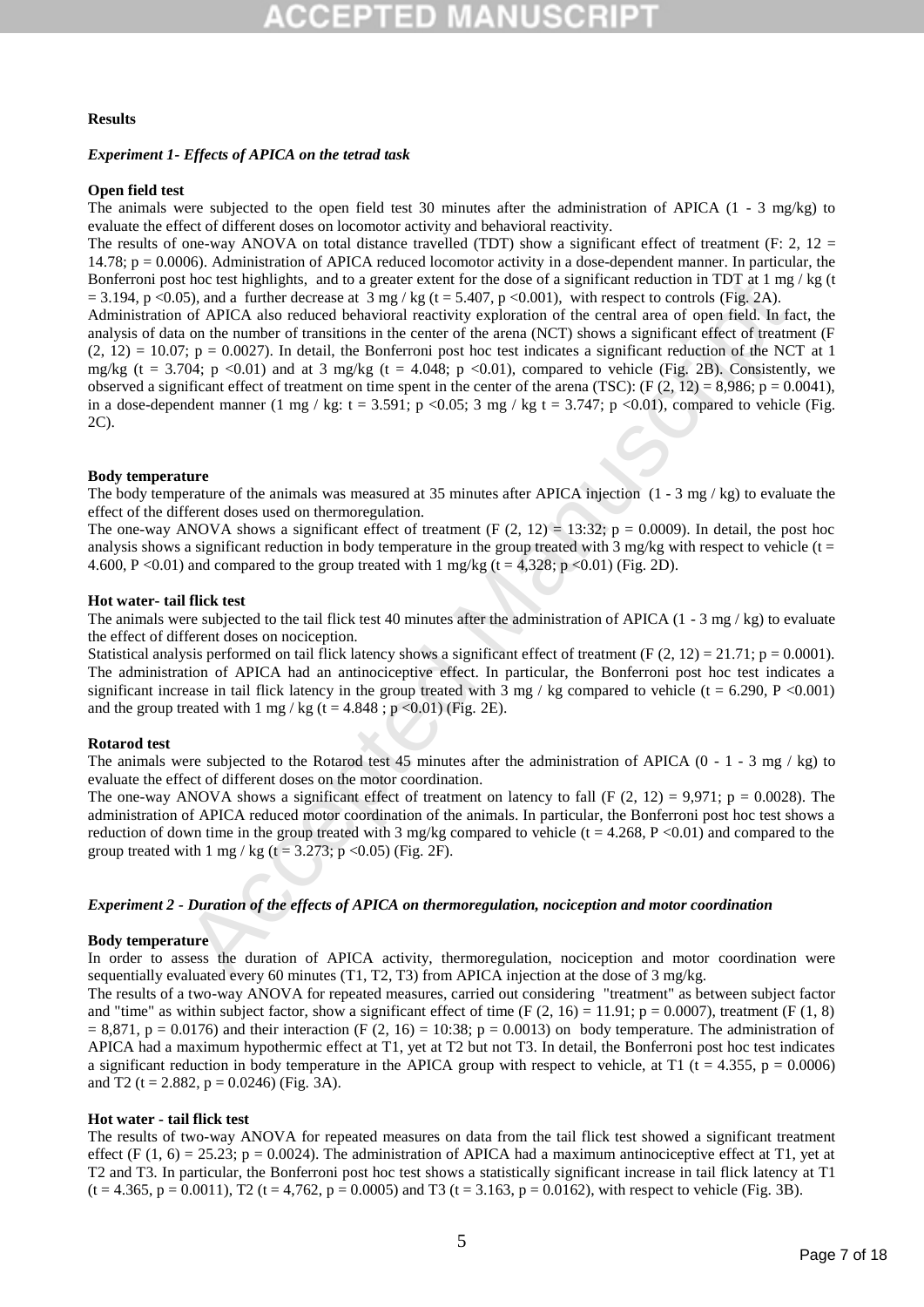### **Results**

# *Experiment 1- Effects of APICA on the tetrad task*

# **Open field test**

The animals were subjected to the open field test 30 minutes after the administration of APICA (1 - 3 mg/kg) to evaluate the effect of different doses on locomotor activity and behavioral reactivity.

The results of one-way ANOVA on total distance travelled (TDT) show a significant effect of treatment (F: 2,  $12 =$ 14.78; p = 0.0006). Administration of APICA reduced locomotor activity in a dose-dependent manner. In particular, the Bonferroni post hoc test highlights, and to a greater extent for the dose of a significant reduction in TDT at 1 mg / kg (t  $= 3.194$ , p <0.05), and a further decrease at 3 mg / kg (t = 5.407, p <0.001), with respect to controls (Fig. 2A).

How test highlights, and to a greater stetra for the those of a significant reduction in TD1 at 1 mg<br>
for the ACPLA also reduced behavioral reactivity exploration (i.e. earth are the controls (rig. 2A),<br>
of APICA also red Administration of APICA also reduced behavioral reactivity exploration of the central area of open field. In fact, the analysis of data on the number of transitions in the center of the arena (NCT) shows a significant effect of treatment (F  $(2, 12) = 10.07$ ;  $p = 0.0027$ ). In detail, the Bonferroni post hoc test indicates a significant reduction of the NCT at 1 mg/kg (t = 3.704; p <0.01) and at 3 mg/kg (t = 4.048; p <0.01), compared to vehicle (Fig. 2B). Consistently, we observed a significant effect of treatment on time spent in the center of the arena (TSC): (F  $(2, 12) = 8,986$ ; p = 0.0041), in a dose-dependent manner (1 mg / kg: t = 3.591; p <0.05; 3 mg / kg t = 3.747; p <0.01), compared to vehicle (Fig. 2C).

#### **Body temperature**

The body temperature of the animals was measured at 35 minutes after APICA injection  $(1 - 3 \text{ mg}/\text{kg})$  to evaluate the effect of the different doses used on thermoregulation.

The one-way ANOVA shows a significant effect of treatment (F  $(2, 12) = 13:32$ ;  $p = 0.0009$ ). In detail, the post hoc analysis shows a significant reduction in body temperature in the group treated with 3 mg/kg with respect to vehicle ( $t =$ 4.600, P < 0.01) and compared to the group treated with 1 mg/kg (t = 4,328; p < 0.01) (Fig. 2D).

### **Hot water- tail flick test**

The animals were subjected to the tail flick test 40 minutes after the administration of APICA  $(1 - 3 \text{ mg} / \text{kg})$  to evaluate the effect of different doses on nociception.

Statistical analysis performed on tail flick latency shows a significant effect of treatment (F  $(2, 12) = 21.71$ ; p = 0.0001). The administration of APICA had an antinociceptive effect. In particular, the Bonferroni post hoc test indicates a significant increase in tail flick latency in the group treated with  $3 \text{ mg}$  / kg compared to vehicle (t = 6.290, P <0.001) and the group treated with  $1 \text{ mg}$  / kg (t = 4.848 ; p < 0.01) (Fig. 2E).

#### **Rotarod test**

The animals were subjected to the Rotarod test 45 minutes after the administration of APICA  $(0 - 1 - 3 \text{ mg } / \text{ kg})$  to evaluate the effect of different doses on the motor coordination.

The one-way ANOVA shows a significant effect of treatment on latency to fall (F  $(2, 12) = 9.971$ ; p = 0.0028). The administration of APICA reduced motor coordination of the animals. In particular, the Bonferroni post hoc test shows a reduction of down time in the group treated with 3 mg/kg compared to vehicle ( $t = 4.268$ ,  $P < 0.01$ ) and compared to the group treated with 1 mg / kg (t = 3.273; p < 0.05) (Fig. 2F).

#### *Experiment 2 - Duration of the effects of APICA on thermoregulation, nociception and motor coordination*

#### **Body temperature**

In order to assess the duration of APICA activity, thermoregulation, nociception and motor coordination were sequentially evaluated every 60 minutes (T1, T2, T3) from APICA injection at the dose of 3 mg/kg.

The results of a two-way ANOVA for repeated measures, carried out considering "treatment" as between subject factor and "time" as within subject factor, show a significant effect of time (F  $(2, 16) = 11.91$ ; p = 0.0007), treatment (F  $(1, 8)$ )  $= 8,871$ ,  $p = 0.0176$ ) and their interaction (F (2, 16) = 10:38; p = 0.0013) on body temperature. The administration of APICA had a maximum hypothermic effect at T1, yet at T2 but not T3. In detail, the Bonferroni post hoc test indicates a significant reduction in body temperature in the APICA group with respect to vehicle, at T1 (t = 4.355, p = 0.0006) and T2 (t = 2.882, p = 0.0246) (Fig. 3A).

#### **Hot water - tail flick test**

The results of two-way ANOVA for repeated measures on data from the tail flick test showed a significant treatment effect (F (1, 6) = 25.23; p = 0.0024). The administration of APICA had a maximum antinociceptive effect at T1, yet at T2 and T3. In particular, the Bonferroni post hoc test shows a statistically significant increase in tail flick latency at T1  $(t = 4.365, p = 0.0011)$ , T2  $(t = 4.762, p = 0.0005)$  and T3  $(t = 3.163, p = 0.0162)$ , with respect to vehicle (Fig. 3B).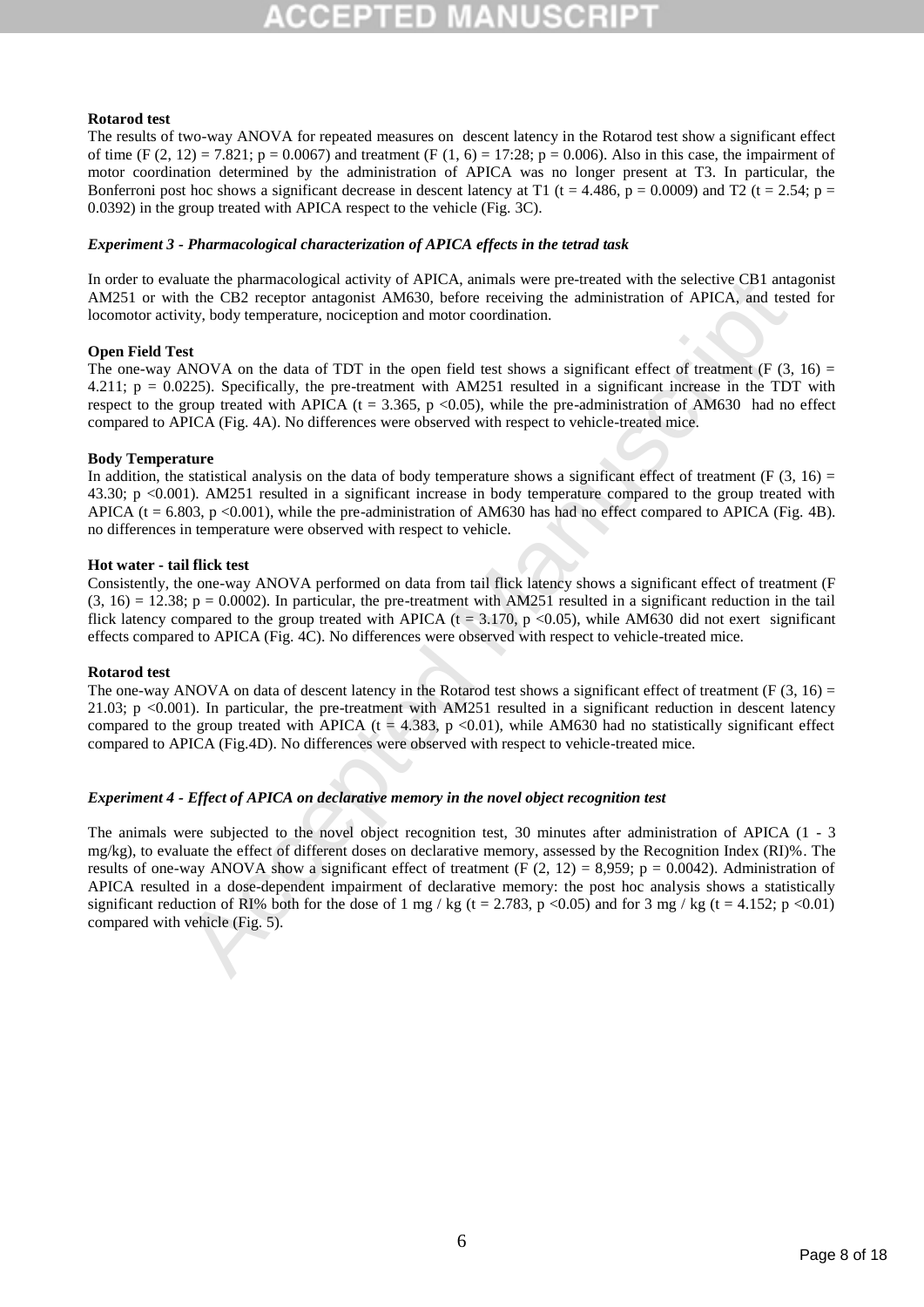# **Rotarod test**

The results of two-way ANOVA for repeated measures on descent latency in the Rotarod test show a significant effect of time (F (2, 12) = 7.821; p = 0.0067) and treatment (F (1, 6) = 17:28; p = 0.006). Also in this case, the impairment of motor coordination determined by the administration of APICA was no longer present at T3. In particular, the Bonferroni post hoc shows a significant decrease in descent latency at T1 (t = 4.486, p = 0.0009) and T2 (t = 2.54; p = 0.0392) in the group treated with APICA respect to the vehicle (Fig. 3C).

# *Experiment 3 - Pharmacological characterization of APICA effects in the tetrad task*

In order to evaluate the pharmacological activity of APICA, animals were pre-treated with the selective CB1 antagonist AM251 or with the CB2 receptor antagonist AM630, before receiving the administration of APICA, and tested for locomotor activity, body temperature, nociception and motor coordination.

# **Open Field Test**

The one-way ANOVA on the data of TDT in the open field test shows a significant effect of treatment (F  $(3, 16)$  = 4.211;  $p = 0.0225$ ). Specifically, the pre-treatment with AM251 resulted in a significant increase in the TDT with respect to the group treated with APICA ( $t = 3.365$ ,  $p < 0.05$ ), while the pre-administration of AM630 had no effect compared to APICA (Fig. 4A). No differences were observed with respect to vehicle-treated mice.

# **Body Temperature**

In addition, the statistical analysis on the data of body temperature shows a significant effect of treatment (F  $(3, 16)$  = 43.30; p <0.001). AM251 resulted in a significant increase in body temperature compared to the group treated with APICA ( $t = 6.803$ ,  $p < 0.001$ ), while the pre-administration of AM630 has had no effect compared to APICA (Fig. 4B). no differences in temperature were observed with respect to vehicle.

# **Hot water - tail flick test**

Consistently, the one-way ANOVA performed on data from tail flick latency shows a significant effect of treatment (F  $(3, 16) = 12.38$ ;  $p = 0.0002$ ). In particular, the pre-treatment with AM251 resulted in a significant reduction in the tail flick latency compared to the group treated with APICA ( $t = 3.170$ ,  $p < 0.05$ ), while AM630 did not exert significant effects compared to APICA (Fig. 4C). No differences were observed with respect to vehicle-treated mice.

# **Rotarod test**

The one-way ANOVA on data of descent latency in the Rotarod test shows a significant effect of treatment (F  $(3, 16)$  = 21.03; p <0.001). In particular, the pre-treatment with AM251 resulted in a significant reduction in descent latency compared to the group treated with APICA ( $t = 4.383$ ,  $p < 0.01$ ), while AM630 had no statistically significant effect compared to APICA (Fig.4D). No differences were observed with respect to vehicle-treated mice.

# *Experiment 4 - Effect of APICA on declarative memory in the novel object recognition test*

liate the pharmacological activity of APICA, armals were pre-treated with the selector. CH and<br>the fit for the CB2 receptor antagonist AM630, before receiving the altministration of APICA, and test<br>div, body emperature, n The animals were subjected to the novel object recognition test, 30 minutes after administration of APICA (1 - 3 mg/kg), to evaluate the effect of different doses on declarative memory, assessed by the Recognition Index (RI)%. The results of one-way ANOVA show a significant effect of treatment (F  $(2, 12) = 8,959$ ; p = 0.0042). Administration of APICA resulted in a dose-dependent impairment of declarative memory: the post hoc analysis shows a statistically significant reduction of RI% both for the dose of 1 mg / kg (t = 2.783, p <0.05) and for 3 mg / kg (t = 4.152; p <0.01) compared with vehicle (Fig. 5).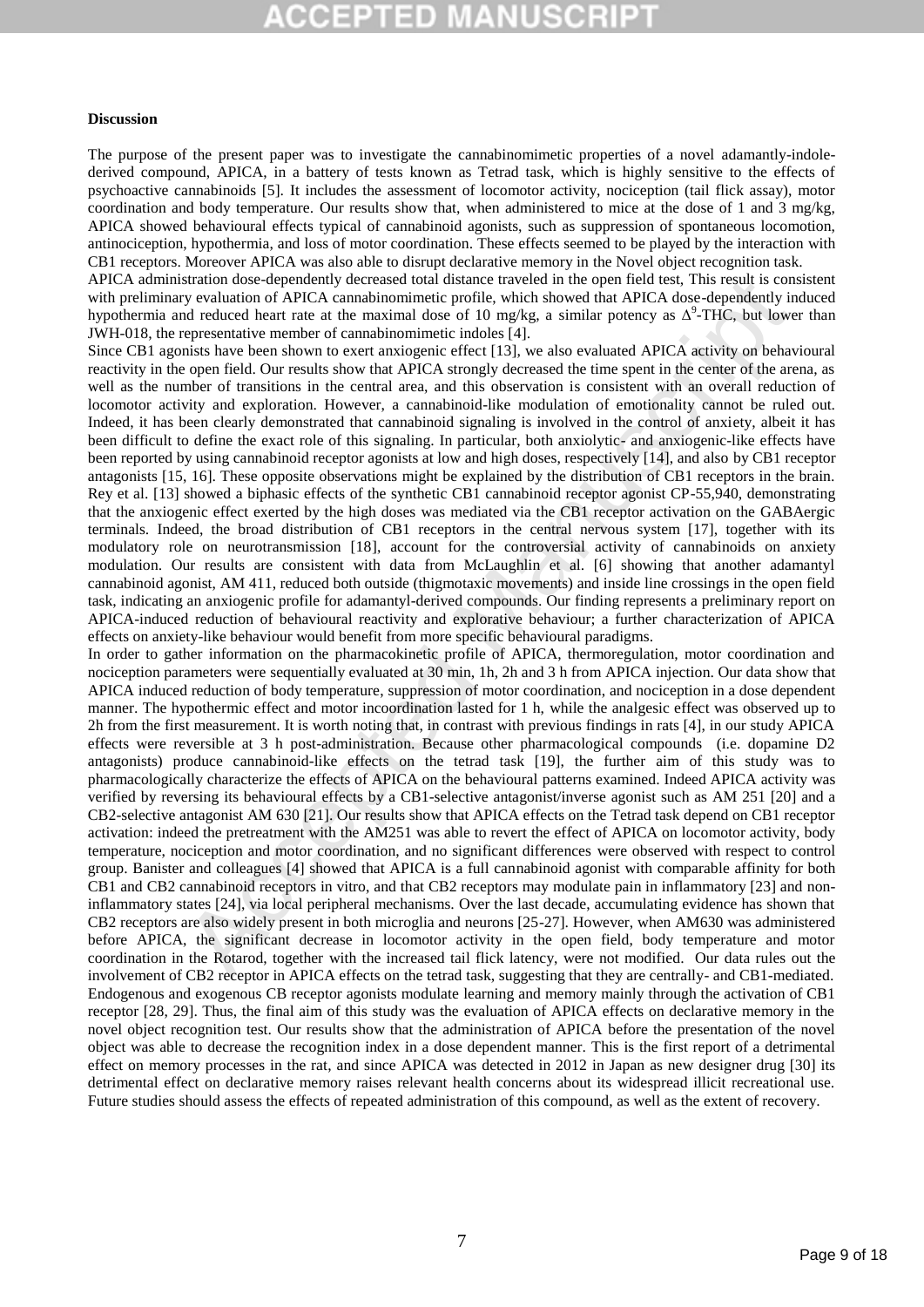# $\Box$  D

#### **Discussion**

The purpose of the present paper was to investigate the cannabinomimetic properties of a novel adamantly-indolederived compound, APICA, in a battery of tests known as Tetrad task, which is highly sensitive to the effects of psychoactive cannabinoids [5]. It includes the assessment of locomotor activity, nociception (tail flick assay), motor coordination and body temperature. Our results show that, when administered to mice at the dose of 1 and 3 mg/kg, APICA showed behavioural effects typical of cannabinoid agonists, such as suppression of spontaneous locomotion, antinociception, hypothermia, and loss of motor coordination. These effects seemed to be played by the interaction with CB1 receptors. Moreover APICA was also able to disrupt declarative memory in the Novel object recognition task.

APICA administration dose-dependently decreased total distance traveled in the open field test, This result is consistent with preliminary evaluation of APICA cannabinomimetic profile, which showed that APICA dose-dependently induced hypothermia and reduced heart rate at the maximal dose of 10 mg/kg, a similar potency as  $\Delta^9$ -THC, but lower than JWH-018, the representative member of cannabinomimetic indoles [4].

Since CB1 agonists have been shown to exert anxiogenic effect [13], we also evaluated APICA activity on behavioural reactivity in the open field. Our results show that APICA strongly decreased the time spent in the center of the arena, as well as the number of transitions in the central area, and this observation is consistent with an overall reduction of locomotor activity and exploration. However, a cannabinoid-like modulation of emotionality cannot be ruled out. Indeed, it has been clearly demonstrated that cannabinoid signaling is involved in the control of anxiety, albeit it has been difficult to define the exact role of this signaling. In particular, both anxiolytic- and anxiogenic-like effects have been reported by using cannabinoid receptor agonists at low and high doses, respectively [14], and also by CB1 receptor antagonists [15, 16]. These opposite observations might be explained by the distribution of CB1 receptors in the brain. Rey et al. [13] showed a biphasic effects of the synthetic CB1 cannabinoid receptor agonist CP-55,940, demonstrating that the anxiogenic effect exerted by the high doses was mediated via the CB1 receptor activation on the GABAergic terminals. Indeed, the broad distribution of CB1 receptors in the central nervous system [17], together with its modulatory role on neurotransmission [18], account for the controversial activity of cannabinoids on anxiety modulation. Our results are consistent with data from McLaughlin et al. [6] showing that another adamantyl cannabinoid agonist, AM 411, reduced both outside (thigmotaxic movements) and inside line crossings in the open field task, indicating an anxiogenic profile for adamantyl-derived compounds. Our finding represents a preliminary report on APICA-induced reduction of behavioural reactivity and explorative behaviour; a further characterization of APICA effects on anxiety-like behaviour would benefit from more specific behavioural paradigms.

stration does-dependently decreased total dislance traveled in the opera lield uss, This result is considered heat rate at me anomination of APICA currushmominatic profile, which showed that APICA dose-dependently in equi In order to gather information on the pharmacokinetic profile of APICA, thermoregulation, motor coordination and nociception parameters were sequentially evaluated at 30 min, 1h, 2h and 3 h from APICA injection. Our data show that APICA induced reduction of body temperature, suppression of motor coordination, and nociception in a dose dependent manner. The hypothermic effect and motor incoordination lasted for 1 h, while the analgesic effect was observed up to 2h from the first measurement. It is worth noting that, in contrast with previous findings in rats [4], in our study APICA effects were reversible at 3 h post-administration. Because other pharmacological compounds (i.e. dopamine D2 antagonists) produce cannabinoid-like effects on the tetrad task [19], the further aim of this study was to pharmacologically characterize the effects of APICA on the behavioural patterns examined. Indeed APICA activity was verified by reversing its behavioural effects by a CB1-selective antagonist/inverse agonist such as AM 251 [20] and a CB2-selective antagonist AM 630 [21]. Our results show that APICA effects on the Tetrad task depend on CB1 receptor activation: indeed the pretreatment with the AM251 was able to revert the effect of APICA on locomotor activity, body temperature, nociception and motor coordination, and no significant differences were observed with respect to control group. Banister and colleagues [4] showed that APICA is a full cannabinoid agonist with comparable affinity for both CB1 and CB2 cannabinoid receptors in vitro, and that CB2 receptors may modulate pain in inflammatory [23] and noninflammatory states [24], via local peripheral mechanisms. Over the last decade, accumulating evidence has shown that CB2 receptors are also widely present in both microglia and neurons [25-27]. However, when AM630 was administered before APICA, the significant decrease in locomotor activity in the open field, body temperature and motor coordination in the Rotarod, together with the increased tail flick latency, were not modified. Our data rules out the involvement of CB2 receptor in APICA effects on the tetrad task, suggesting that they are centrally- and CB1-mediated. Endogenous and exogenous CB receptor agonists modulate learning and memory mainly through the activation of CB1 receptor [28, 29]. Thus, the final aim of this study was the evaluation of APICA effects on declarative memory in the novel object recognition test. Our results show that the administration of APICA before the presentation of the novel object was able to decrease the recognition index in a dose dependent manner. This is the first report of a detrimental effect on memory processes in the rat, and since APICA was detected in 2012 in Japan as new designer drug [30] its detrimental effect on declarative memory raises relevant health concerns about its widespread illicit recreational use. Future studies should assess the effects of repeated administration of this compound, as well as the extent of recovery.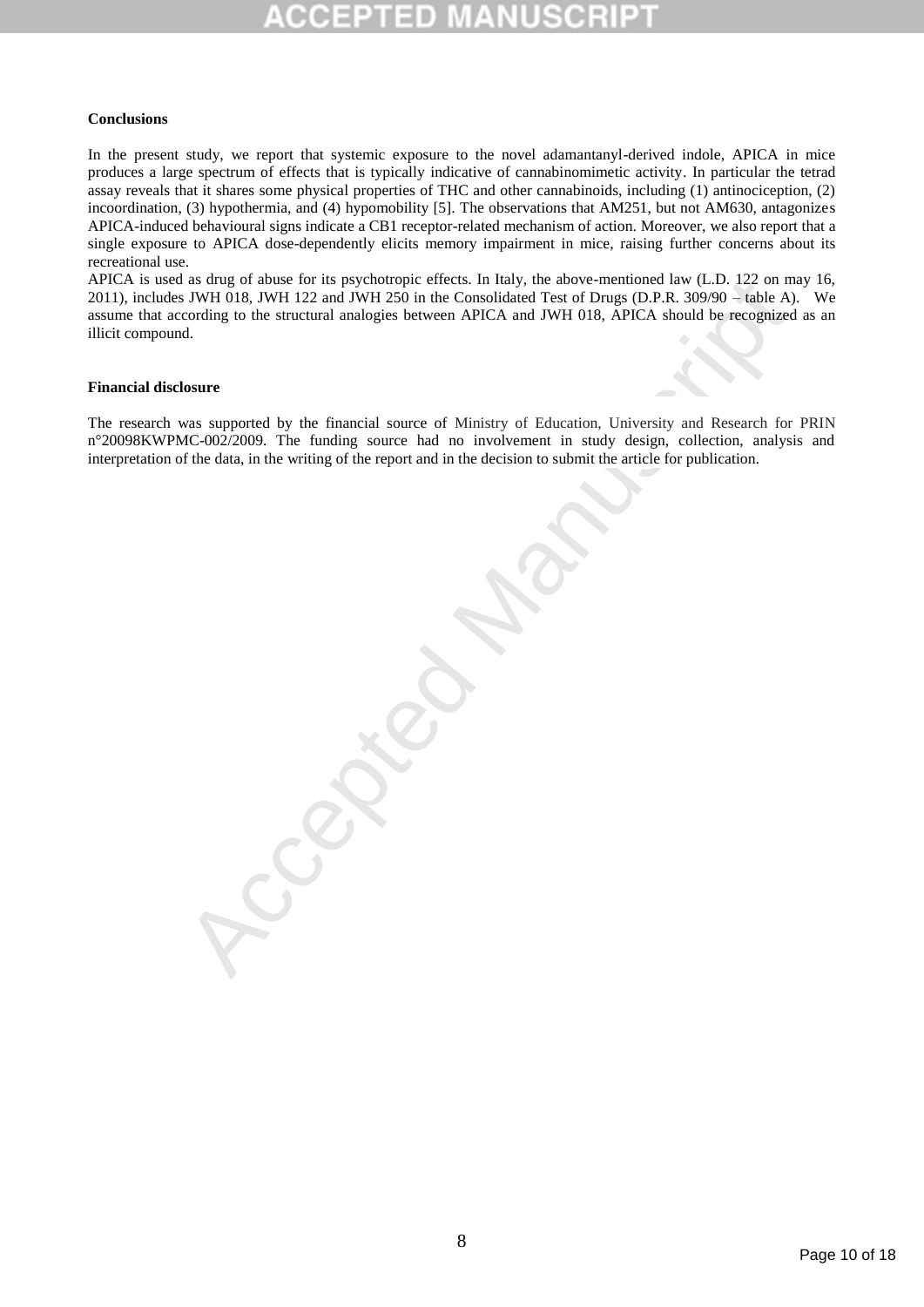# **Conclusions**

In the present study, we report that systemic exposure to the novel adamantanyl-derived indole, APICA in mice produces a large spectrum of effects that is typically indicative of cannabinomimetic activity. In particular the tetrad assay reveals that it shares some physical properties of THC and other cannabinoids, including (1) antinociception, (2) incoordination, (3) hypothermia, and (4) hypomobility [5]. The observations that AM251, but not AM630, antagonizes APICA-induced behavioural signs indicate a CB1 receptor-related mechanism of action. Moreover, we also report that a single exposure to APICA dose-dependently elicits memory impairment in mice, raising further concerns about its recreational use.

as drug of absence for its psychotropic clucks. In flat), the absencementorial law (1.0.192 om miss) NWH (18, IWH 122 and JWH 250 in the Consolidated Test of Drugs (D-P.R. 309:90 – table A) of Manuscript of B. APICA and J APICA is used as drug of abuse for its psychotropic effects. In Italy, the above-mentioned law (L.D. 122 on may 16, 2011), includes JWH 018, JWH 122 and JWH 250 in the Consolidated Test of Drugs (D.P.R. 309/90 – table A). We assume that according to the structural analogies between APICA and JWH 018, APICA should be recognized as an illicit compound.

#### **Financial disclosure**

The research was supported by the financial source of Ministry of Education, University and Research for PRIN n°20098KWPMC-002/2009. The funding source had no involvement in study design, collection, analysis and interpretation of the data, in the writing of the report and in the decision to submit the article for publication.

Page 10 of 18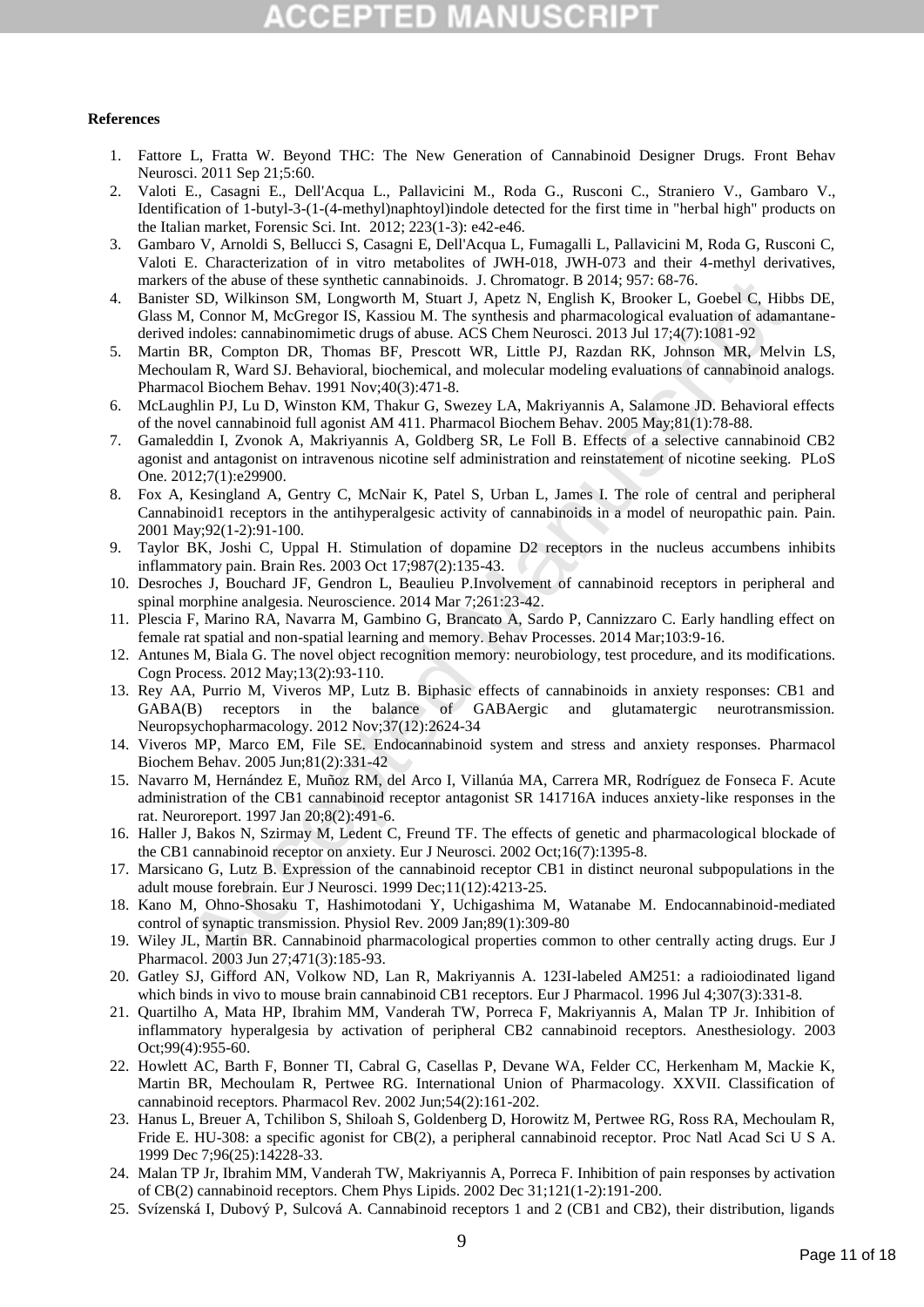# :CEPTED M

### **References**

- 1. Fattore L, Fratta W. Beyond THC: The New Generation of Cannabinoid Designer Drugs. Front Behav Neurosci. 2011 Sep 21;5:60.
- 2. [Valoti](http://www.scopus.com/authid/detail.url?authorId=6701673298&eid=2-s2.0-84865344593) E., [Casagni](http://www.scopus.com/authid/detail.url?authorId=14024086800&eid=2-s2.0-84865344593) E., [Dell'Acqua](http://www.scopus.com/authid/detail.url?authorId=6602298529&eid=2-s2.0-84865344593) L., [Pallavicini](http://www.scopus.com/authid/detail.url?authorId=35798560900&eid=2-s2.0-84865344593) M., [Roda](http://www.scopus.com/authid/detail.url?authorId=6603571918&eid=2-s2.0-84865344593) G., [Rusconi](http://www.scopus.com/authid/detail.url?authorId=37027108000&eid=2-s2.0-84865344593) C., [Straniero](http://www.scopus.com/authid/detail.url?authorId=44061929300&eid=2-s2.0-84865344593) V., [Gambaro V.,](http://www.scopus.com/authid/detail.url?authorId=7003942550&eid=2-s2.0-84865344593)  Identification of 1-butyl-3-(1-(4-methyl)naphtoyl)indole detected for the first time in "herbal high" products on the Italian market, Forensic Sci. Int. 2012; 223(1-3): e42-e46.
- 3. Gambaro V, Arnoldi S, Bellucci S, Casagni E, Dell'Acqua L, Fumagalli L, Pallavicini M, Roda G, Rusconi C, Valoti E. Characterization of in vitro metabolites of JWH-018, JWH-073 and their 4-methyl derivatives, markers of the abuse of these synthetic cannabinoids. J. Chromatogr. B 2014; 957: 68-76.
- 4. Banister SD, Wilkinson SM, Longworth M, Stuart J, Apetz N, English K, Brooker L, Goebel C, Hibbs DE, Glass M, Connor M, McGregor IS, Kassiou M. The synthesis and pharmacological evaluation of adamantanederived indoles: cannabinomimetic drugs of abuse. ACS Chem Neurosci. 2013 Jul 17;4(7):1081-92
- s of the abuse of these synthetic cannabinoids. J. Chromatog. B 2014; 957: 68-76.<br>
Softs after alternative manuscription SM, Longworth M, Stuart J. Apetz N. English K, Brooker L, Goebel C, Hibb<br>
indoles: cannabinomimetic d 5. Martin BR, Compton DR, Thomas BF, Prescott WR, Little PJ, Razdan RK, Johnson MR, Melvin LS, Mechoulam R, Ward SJ. Behavioral, biochemical, and molecular modeling evaluations of cannabinoid analogs. Pharmacol Biochem Behav. 1991 Nov;40(3):471-8.
- 6. McLaughlin PJ, Lu D, Winston KM, Thakur G, Swezey LA, Makriyannis A, Salamone JD. Behavioral effects of the novel cannabinoid full agonist AM 411. Pharmacol Biochem Behav. 2005 May;81(1):78-88.
- 7. Gamaleddin I, Zvonok A, Makriyannis A, Goldberg SR, Le Foll B. Effects of a selective cannabinoid CB2 agonist and antagonist on intravenous nicotine self administration and reinstatement of nicotine seeking. PLoS One. 2012;7(1):e29900.
- 8. Fox A, Kesingland A, Gentry C, McNair K, Patel S, Urban L, James I. The role of central and peripheral Cannabinoid1 receptors in the antihyperalgesic activity of cannabinoids in a model of neuropathic pain. Pain. 2001 May;92(1-2):91-100.
- 9. Taylor BK, Joshi C, Uppal H. Stimulation of dopamine D2 receptors in the nucleus accumbens inhibits inflammatory pain. Brain Res. 2003 Oct 17;987(2):135-43.
- 10. Desroches J, Bouchard JF, Gendron L, Beaulieu P.Involvement of cannabinoid receptors in peripheral and spinal morphine analgesia. Neuroscience. 2014 Mar 7;261:23-42.
- 11. Plescia F, Marino RA, Navarra M, Gambino G, Brancato A, Sardo P, Cannizzaro C. Early handling effect on female rat spatial and non-spatial learning and memory. Behav Processes. 2014 Mar;103:9-16.
- 12. Antunes M, Biala G. The novel object recognition memory: neurobiology, test procedure, and its modifications. Cogn Process. 2012 May;13(2):93-110.
- 13. Rey AA, Purrio M, Viveros MP, Lutz B. Biphasic effects of cannabinoids in anxiety responses: CB1 and GABA(B) receptors in the balance of GABAergic and glutamatergic neurotransmission. Neuropsychopharmacology. 2012 Nov;37(12):2624-34
- 14. Viveros MP, Marco EM, File SE. Endocannabinoid system and stress and anxiety responses. Pharmacol Biochem Behav. 2005 Jun;81(2):331-42
- 15. Navarro M, Hernández E, Muñoz RM, del Arco I, Villanúa MA, Carrera MR, Rodríguez de Fonseca F. Acute administration of the CB1 cannabinoid receptor antagonist SR 141716A induces anxiety-like responses in the rat. Neuroreport. 1997 Jan 20;8(2):491-6.
- 16. Haller J, Bakos N, Szirmay M, Ledent C, Freund TF. The effects of genetic and pharmacological blockade of the CB1 cannabinoid receptor on anxiety. Eur J Neurosci. 2002 Oct;16(7):1395-8.
- 17. Marsicano G, Lutz B. Expression of the cannabinoid receptor CB1 in distinct neuronal subpopulations in the adult mouse forebrain. Eur J Neurosci. 1999 Dec;11(12):4213-25.
- 18. Kano M, Ohno-Shosaku T, Hashimotodani Y, Uchigashima M, Watanabe M. Endocannabinoid-mediated control of synaptic transmission. Physiol Rev. 2009 Jan;89(1):309-80
- 19. Wiley JL, Martin BR. Cannabinoid pharmacological properties common to other centrally acting drugs. Eur J Pharmacol. 2003 Jun 27;471(3):185-93.
- 20. Gatley SJ, Gifford AN, Volkow ND, Lan R, Makriyannis A. 123I-labeled AM251: a radioiodinated ligand which binds in vivo to mouse brain cannabinoid CB1 receptors. Eur J Pharmacol. 1996 Jul 4;307(3):331-8.
- 21. Quartilho A, Mata HP, Ibrahim MM, Vanderah TW, Porreca F, Makriyannis A, Malan TP Jr. Inhibition of inflammatory hyperalgesia by activation of peripheral CB2 cannabinoid receptors. Anesthesiology. 2003 Oct;99(4):955-60.
- 22. Howlett AC, Barth F, Bonner TI, Cabral G, Casellas P, Devane WA, Felder CC, Herkenham M, Mackie K, Martin BR, Mechoulam R, Pertwee RG. International Union of Pharmacology. XXVII. Classification of cannabinoid receptors. Pharmacol Rev. 2002 Jun;54(2):161-202.
- 23. Hanus L, Breuer A, Tchilibon S, Shiloah S, Goldenberg D, Horowitz M, Pertwee RG, Ross RA, Mechoulam R, Fride E. HU-308: a specific agonist for CB(2), a peripheral cannabinoid receptor. Proc Natl Acad Sci U S A. 1999 Dec 7;96(25):14228-33.
- 24. Malan TP Jr, Ibrahim MM, Vanderah TW, Makriyannis A, Porreca F. Inhibition of pain responses by activation of CB(2) cannabinoid receptors. Chem Phys Lipids. 2002 Dec 31;121(1-2):191-200.
- 25. Svízenská I, Dubový P, Sulcová A. Cannabinoid receptors 1 and 2 (CB1 and CB2), their distribution, ligands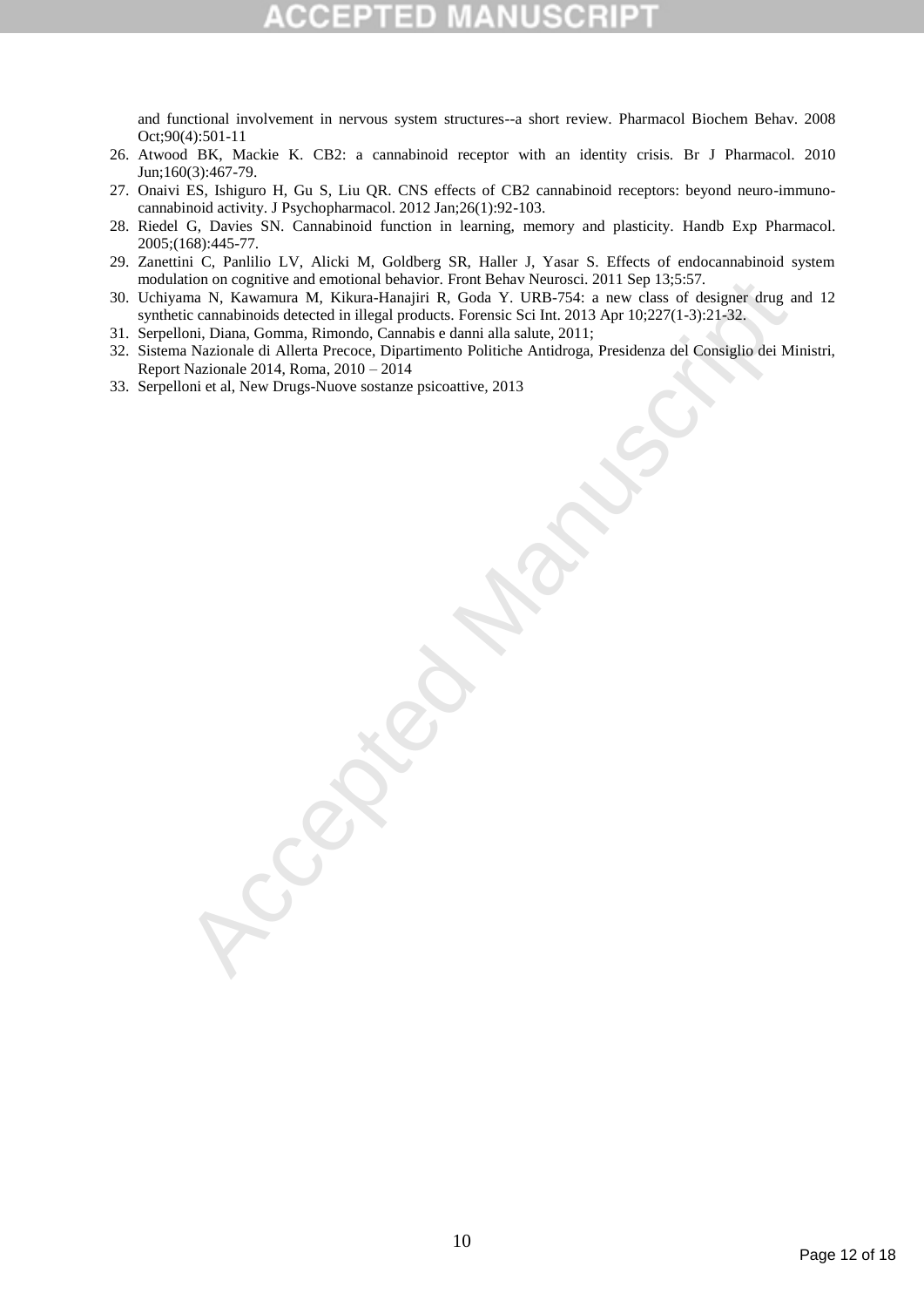and functional involvement in nervous system structures--a short review. Pharmacol Biochem Behav. 2008 Oct;90(4):501-11

- 26. Atwood BK, Mackie K. CB2: a cannabinoid receptor with an identity crisis. Br J Pharmacol. 2010 Jun;160(3):467-79.
- 27. Onaivi ES, Ishiguro H, Gu S, Liu QR. CNS effects of CB2 cannabinoid receptors: beyond neuro-immunocannabinoid activity. J Psychopharmacol. 2012 Jan;26(1):92-103.
- 28. Riedel G, Davies SN. Cannabinoid function in learning, memory and plasticity. Handb Exp Pharmacol. 2005;(168):445-77.
- 29. Zanettini C, Panlilio LV, Alicki M, Goldberg SR, Haller J, Yasar S. Effects of endocannabinoid system modulation on cognitive and emotional behavior. Front Behav Neurosci. 2011 Sep 13;5:57.
- ation on expentitional helations. From Helation Control Manuscript Control Manuscript Contable detected in like and the stress of designer drog and the control Diana, Gomma, Rimondo, Cantabis e datan alla salue, 2011; Sep 30. Uchiyama N, Kawamura M, Kikura-Hanajiri R, Goda Y. URB-754: a new class of designer drug and 12 synthetic cannabinoids detected in illegal products. Forensic Sci Int. 2013 Apr 10;227(1-3):21-32.
- 31. Serpelloni, Diana, Gomma, Rimondo, Cannabis e danni alla salute*,* 2011;
- 32. Sistema Nazionale di Allerta Precoce, Dipartimento Politiche Antidroga, Presidenza del Consiglio dei Ministri, Report Nazionale 2014, Roma, 2010 – 2014
- 33. Serpelloni et al, New Drugs-Nuove sostanze psicoattive*,* 2013

Page 12 of 18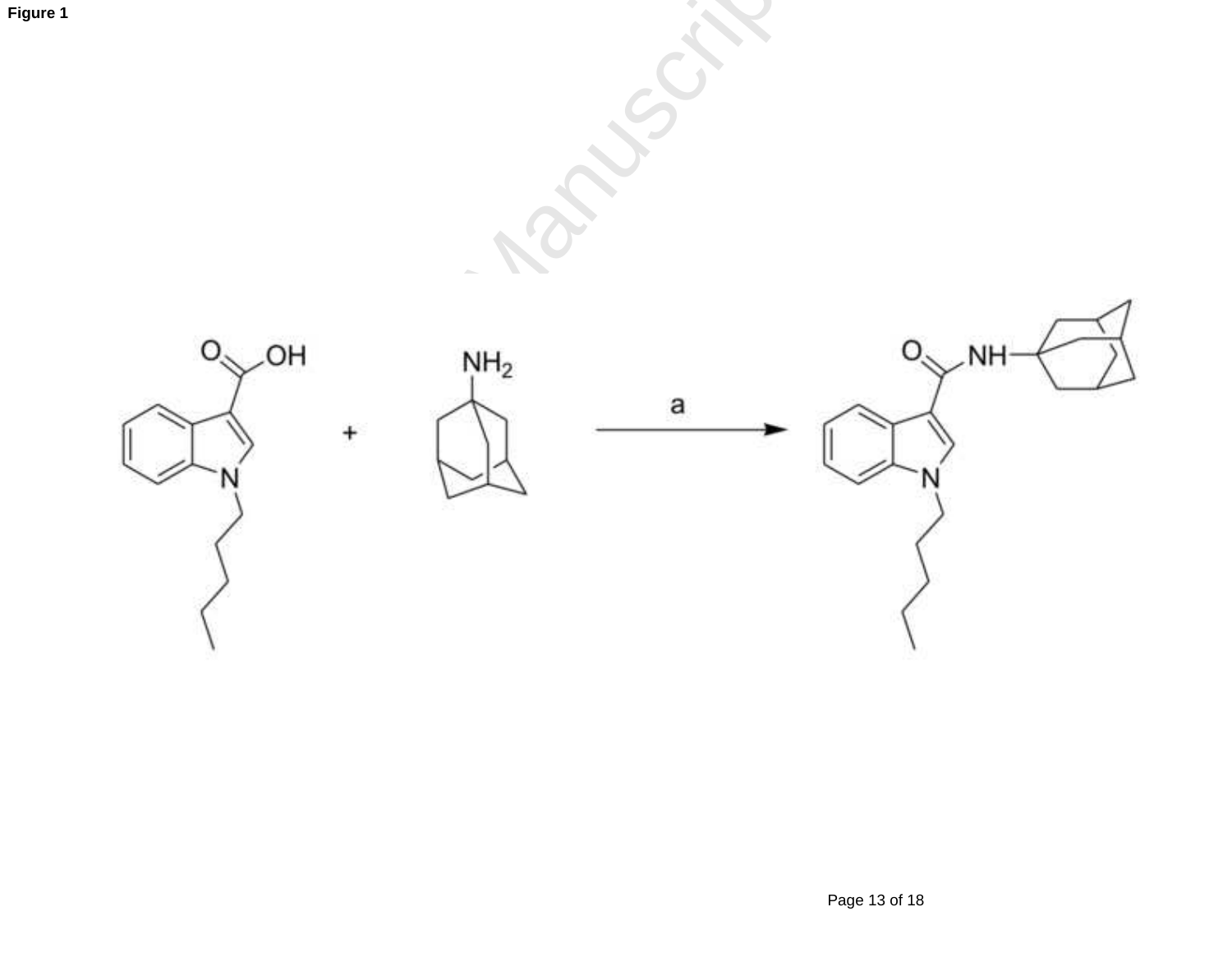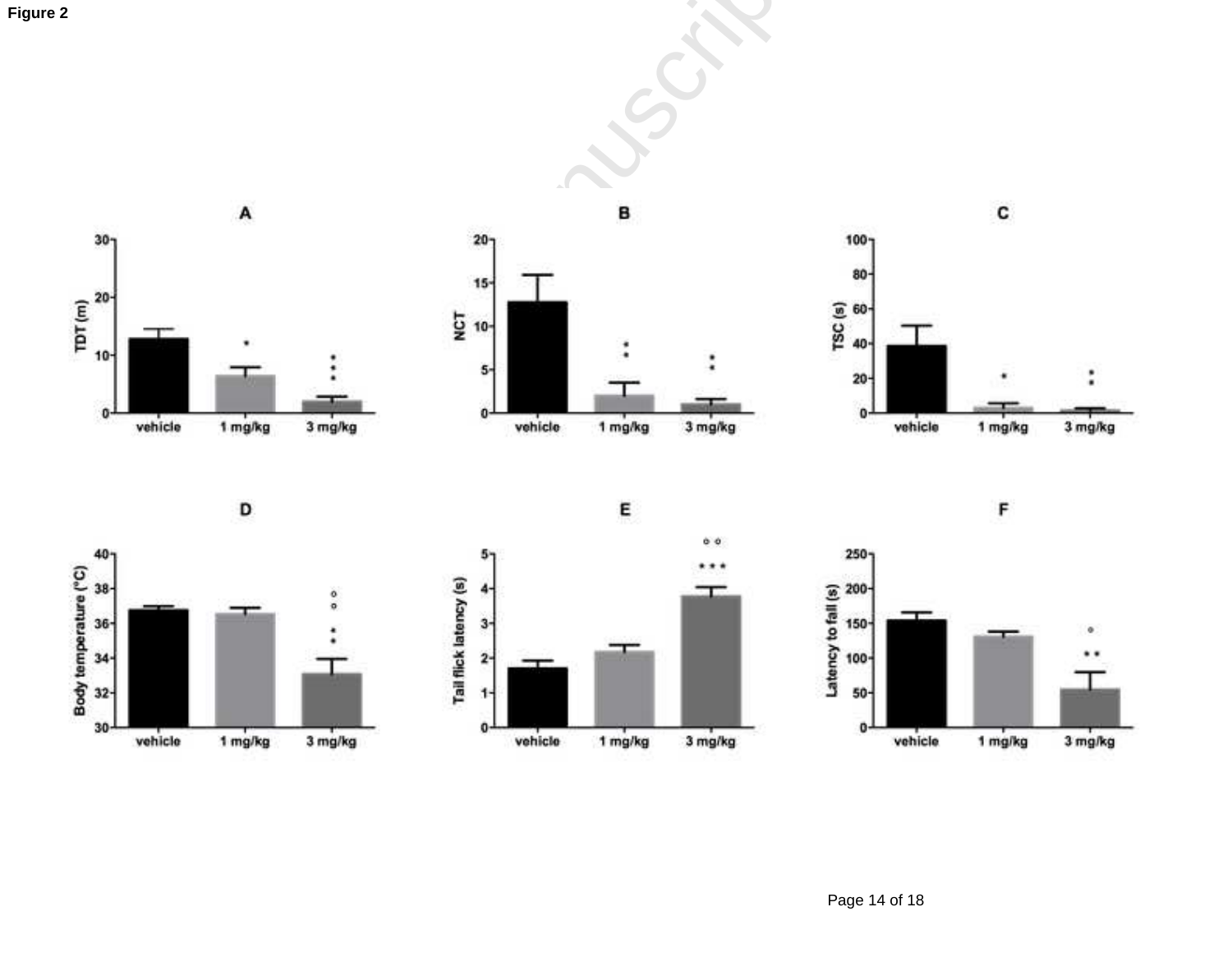











1 mg/kg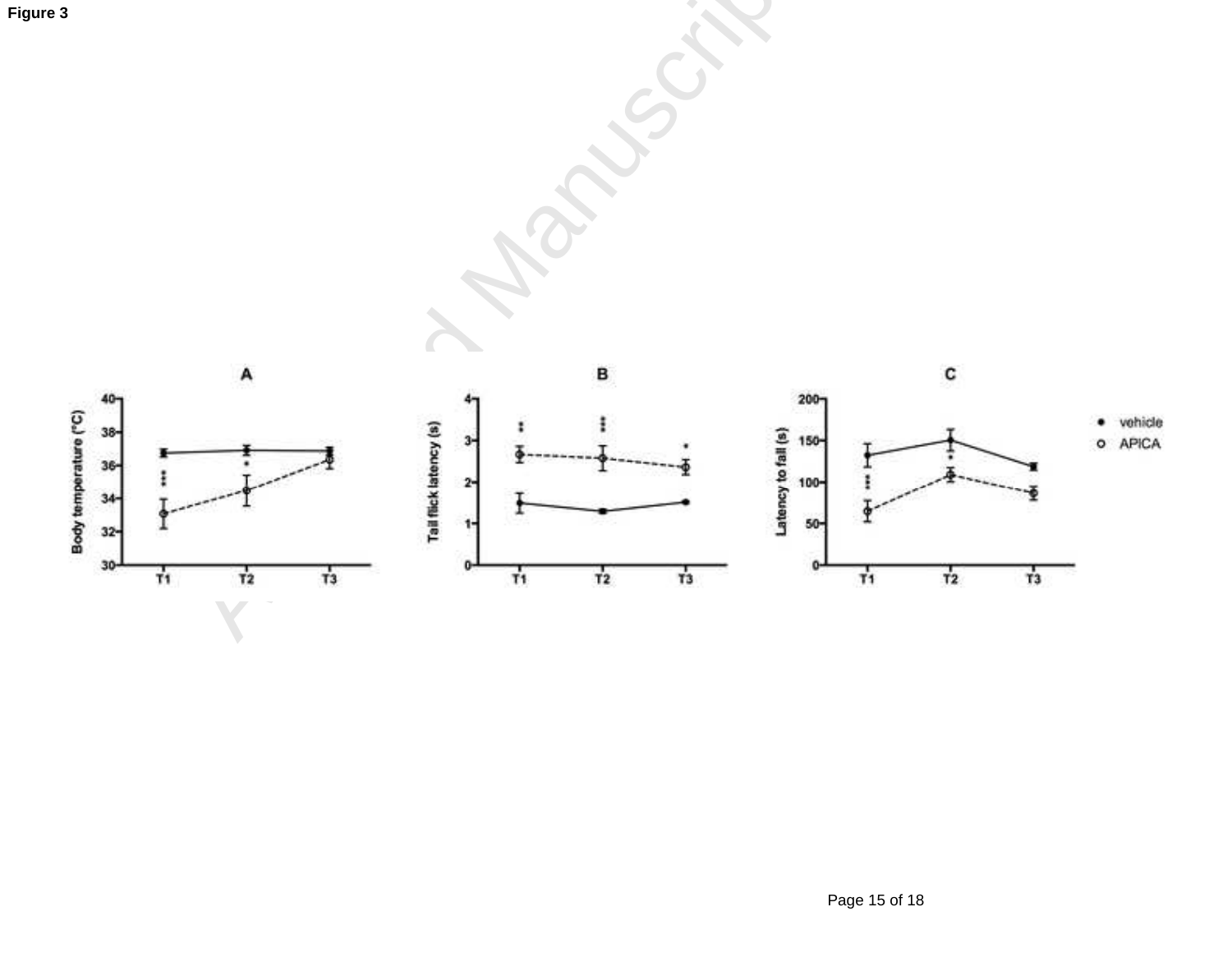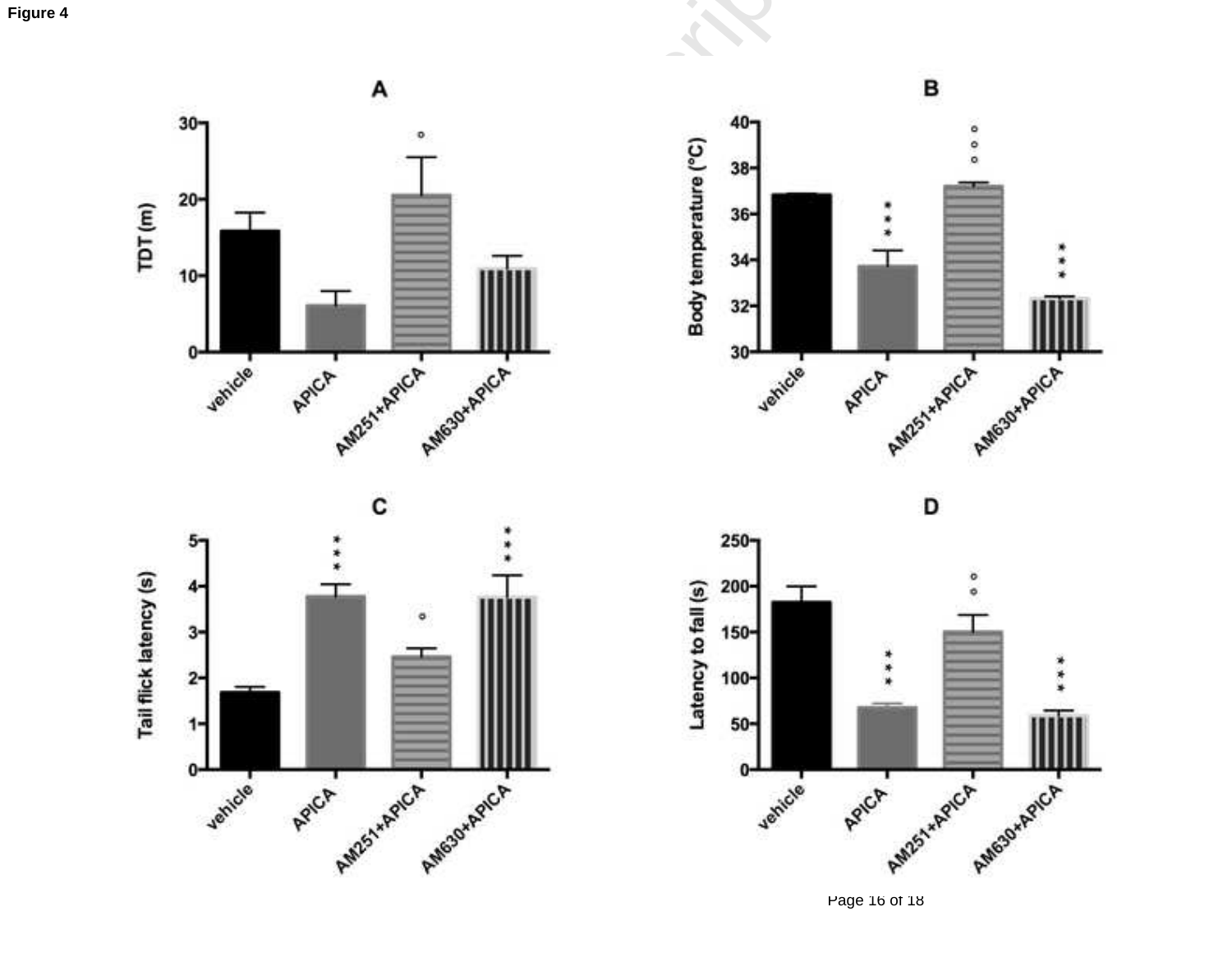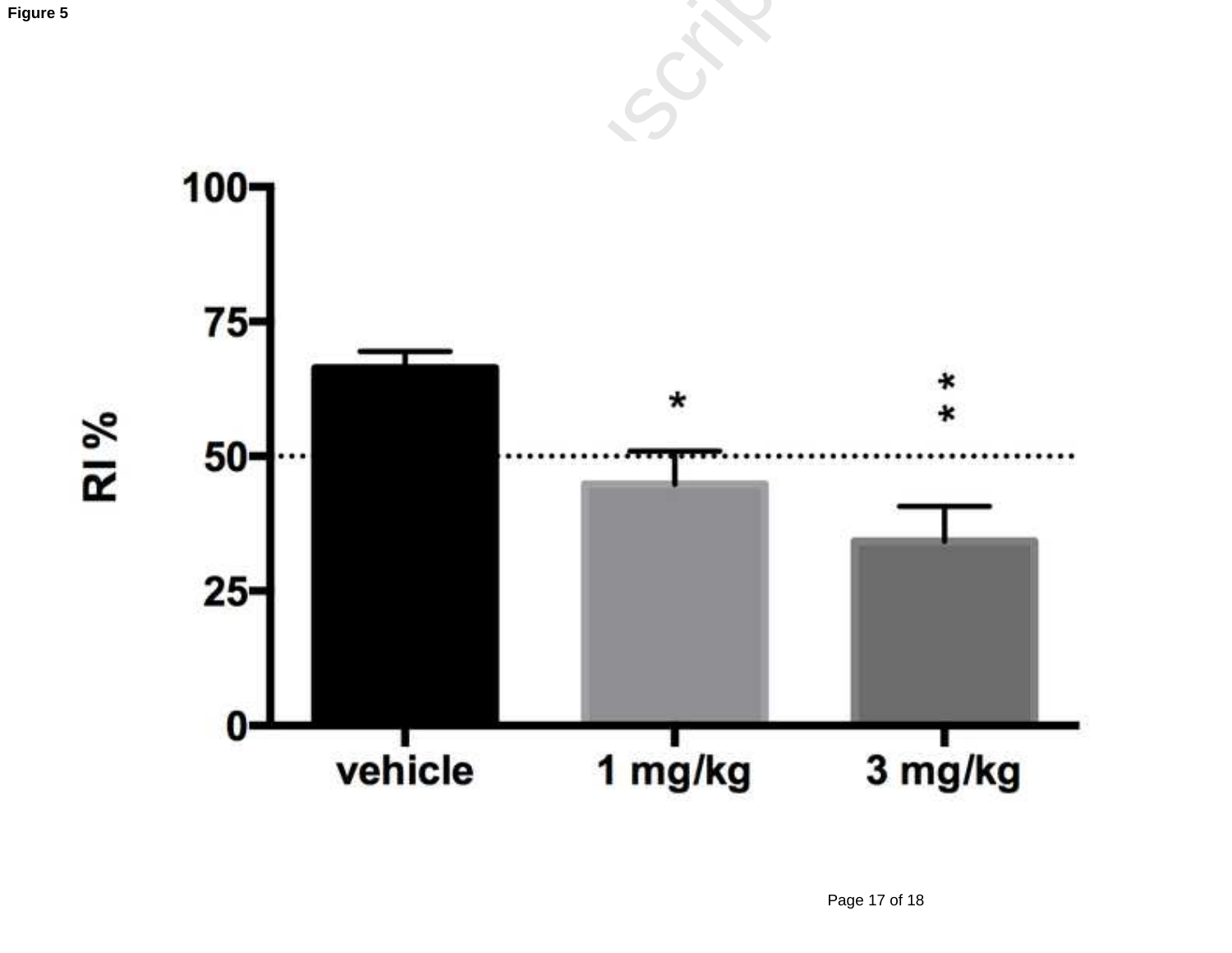